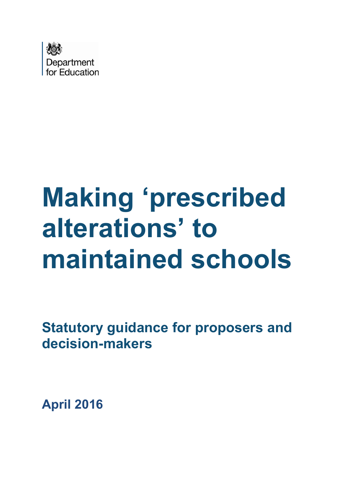

# **Making 'prescribed alterations' to maintained schools**

**Statutory guidance for proposers and decision-makers**

**April 2016**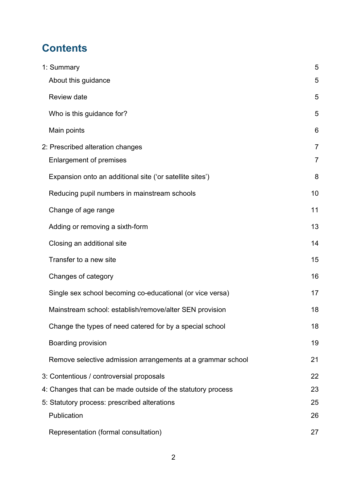# **Contents**

| 1: Summary                                                   | 5              |
|--------------------------------------------------------------|----------------|
| About this guidance                                          | 5              |
| Review date                                                  | 5              |
| Who is this guidance for?                                    | 5              |
| Main points                                                  | 6              |
| 2: Prescribed alteration changes                             | $\overline{7}$ |
| <b>Enlargement of premises</b>                               | $\overline{7}$ |
| Expansion onto an additional site ('or satellite sites')     | 8              |
| Reducing pupil numbers in mainstream schools                 | 10             |
| Change of age range                                          | 11             |
| Adding or removing a sixth-form                              | 13             |
| Closing an additional site                                   | 14             |
| Transfer to a new site                                       | 15             |
| Changes of category                                          | 16             |
| Single sex school becoming co-educational (or vice versa)    | 17             |
| Mainstream school: establish/remove/alter SEN provision      | 18             |
| Change the types of need catered for by a special school     | 18             |
| Boarding provision                                           | 19             |
| Remove selective admission arrangements at a grammar school  | 21             |
| 3: Contentious / controversial proposals                     | 22             |
| 4: Changes that can be made outside of the statutory process | 23             |
| 5. Statutory process: prescribed alterations                 | 25             |
| Publication                                                  | 26             |
| Representation (formal consultation)                         | 27             |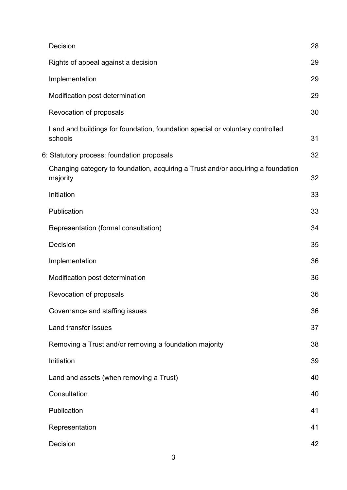| Decision                                                                                     | 28 |
|----------------------------------------------------------------------------------------------|----|
| Rights of appeal against a decision                                                          | 29 |
| Implementation                                                                               | 29 |
| Modification post determination                                                              | 29 |
| Revocation of proposals                                                                      | 30 |
| Land and buildings for foundation, foundation special or voluntary controlled<br>schools     | 31 |
| 6: Statutory process: foundation proposals                                                   | 32 |
| Changing category to foundation, acquiring a Trust and/or acquiring a foundation<br>majority | 32 |
| Initiation                                                                                   | 33 |
| Publication                                                                                  | 33 |
| Representation (formal consultation)                                                         | 34 |
| Decision                                                                                     | 35 |
| Implementation                                                                               | 36 |
| Modification post determination                                                              | 36 |
| Revocation of proposals                                                                      | 36 |
| Governance and staffing issues                                                               | 36 |
| Land transfer issues                                                                         | 37 |
| Removing a Trust and/or removing a foundation majority                                       | 38 |
| Initiation                                                                                   | 39 |
| Land and assets (when removing a Trust)                                                      | 40 |
| Consultation                                                                                 | 40 |
| Publication                                                                                  | 41 |
| Representation                                                                               | 41 |
| Decision                                                                                     | 42 |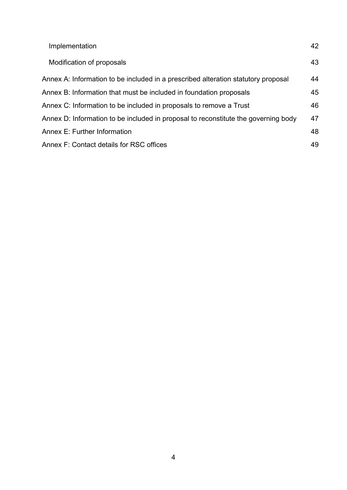| Implementation                                                                     | 42 |
|------------------------------------------------------------------------------------|----|
| Modification of proposals                                                          | 43 |
| Annex A: Information to be included in a prescribed alteration statutory proposal  | 44 |
| Annex B: Information that must be included in foundation proposals                 | 45 |
| Annex C: Information to be included in proposals to remove a Trust                 | 46 |
| Annex D: Information to be included in proposal to reconstitute the governing body | 47 |
| Annex E: Further Information                                                       | 48 |
| Annex F: Contact details for RSC offices                                           | 49 |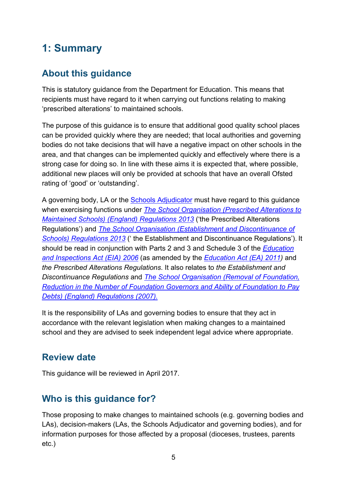# <span id="page-4-0"></span>**1: Summary**

#### <span id="page-4-1"></span>**About this guidance**

This is statutory guidance from the Department for Education. This means that recipients must have regard to it when carrying out functions relating to making 'prescribed alterations' to maintained schools.

The purpose of this guidance is to ensure that additional good quality school places can be provided quickly where they are needed; that local authorities and governing bodies do not take decisions that will have a negative impact on other schools in the area, and that changes can be implemented quickly and effectively where there is a strong case for doing so. In line with these aims it is expected that, where possible, additional new places will only be provided at schools that have an overall Ofsted rating of 'good' or 'outstanding'.

A governing body, LA or the [Schools Adjudicator](https://www.gov.uk/government/organisations/office-of-the-schools-adjudicator) must have regard to this guidance when exercising functions under *[The School Organisation \(Prescribed Alterations to](http://www.legislation.gov.uk/uksi/2013/3110/contents/made)  [Maintained Schools\) \(England\) Regulations 2013](http://www.legislation.gov.uk/uksi/2013/3110/contents/made)* ('the Prescribed Alterations Regulations') and *[The School Organisation \(Establishment and Discontinuance of](http://www.legislation.gov.uk/uksi/2013/3109/contents/made)  [Schools\) Regulations 2013](http://www.legislation.gov.uk/uksi/2013/3109/contents/made)* (' the Establishment and Discontinuance Regulations'). It should be read in conjunction with Parts 2 and 3 and Schedule 3 of the *[Education](http://www.legislation.gov.uk/ukpga/2006/40/contents)  [and Inspections Act \(EIA\) 2006](http://www.legislation.gov.uk/ukpga/2006/40/contents)* (as amended by the *[Education Act \(EA\) 2011\)](http://www.legislation.gov.uk/ukpga/2011/21/contents)* and *the Prescribed Alterations Regulations*. It also relates to *the Establishment and Discontinuance Regulations* and *[The School Organisation \(Removal of Foundation,](http://www.legislation.gov.uk/uksi/2007/3475/contents/made)  [Reduction in the Number of Foundation Governors and Ability of Foundation to Pay](http://www.legislation.gov.uk/uksi/2007/3475/contents/made)  [Debts\) \(England\) Regulations \(2007\).](http://www.legislation.gov.uk/uksi/2007/3475/contents/made)*

It is the responsibility of LAs and governing bodies to ensure that they act in accordance with the relevant legislation when making changes to a maintained school and they are advised to seek independent legal advice where appropriate.

#### <span id="page-4-2"></span>**Review date**

This guidance will be reviewed in April 2017.

## <span id="page-4-3"></span>**Who is this guidance for?**

Those proposing to make changes to maintained schools (e.g. governing bodies and LAs), decision-makers (LAs, the Schools Adjudicator and governing bodies), and for information purposes for those affected by a proposal (dioceses, trustees, parents etc.)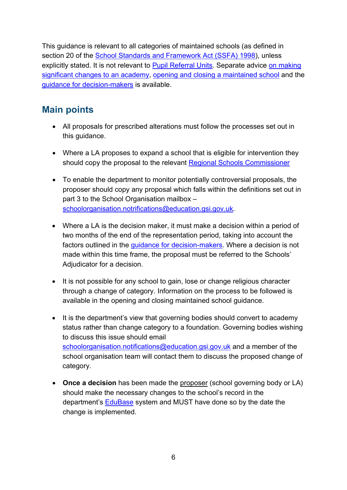This guidance is relevant to all categories of maintained schools (as defined in section 20 of the [School Standards and Framework Act \(SSFA\) 1998\)](http://www.legislation.gov.uk/ukpga/1998/31/contents), unless explicitly stated. It is not relevant to **Pupil Referral Units**. Separate advice on making [significant changes to an academy,](https://www.gov.uk/government/publications/making-significant-changes-to-an-existing-academy) [opening and closing a maintained school](https://www.gov.uk/government/publications/school-organisation-maintained-schools) and the [guidance for decision-makers](https://www.gov.uk/government/publications/school-organisation-maintained-schools) is available.

#### <span id="page-5-0"></span>**Main points**

- All proposals for prescribed alterations must follow the processes set out in this guidance.
- Where a LA proposes to expand a school that is eligible for intervention they should copy the proposal to the relevant [Regional Schools Commissioner](#page-48-0)
- To enable the department to monitor potentially [controversial proposals,](#page-21-0) the proposer should copy any proposal which falls within the definitions set out in part 3 to the School Organisation mailbox – [schoolorganisation.notrifications@education.gsi.gov.uk.](mailto:schoolorganisation.notrifications@education.gsi.gov.uk)
- Where a LA is the decision maker, it must make a decision within a period of two months of the end of the representation period, taking into account the factors outlined in the quidance for decision-makers. Where a decision is not made within this time frame, the proposal must be referred to the Schools' Adjudicator for a decision.
- It is not possible for any school to gain, lose or change religious character through a change of category. Information on the process to be followed is available in the opening and closing maintained school guidance.
- It is the department's view that governing bodies should convert to academy status rather than change category to a foundation. Governing bodies wishing to discuss this issue should email [schoolorganisation.notifications@education.gsi.gov.uk](mailto:schoolorganisation.notifications@education.gsi.gov.uk) and a member of the school organisation team will contact them to discuss the proposed change of category.
- **Once a decision** has been made the proposer (school governing body or LA) should make the necessary changes to the school's record in the department's [EduBase](http://www.education.gov.uk/edubase/home.xhtml) system and MUST have done so by the date the change is implemented.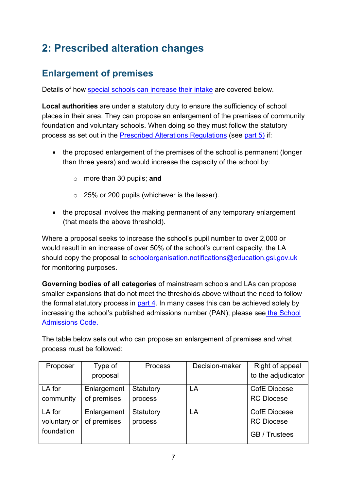# <span id="page-6-0"></span>**2: Prescribed alteration changes**

## <span id="page-6-1"></span>**Enlargement of premises**

Details of how [special schools can increase their intake](#page-8-0) are covered below.

**Local authorities** are under a statutory duty to ensure the sufficiency of school places in their area. They can propose an enlargement of the premises of community foundation and voluntary schools. When doing so they must follow the statutory process as set out in the [Prescribed Alterations Regulations](http://www.legislation.gov.uk/uksi/2013/3110/contents/made) (see [part 5\)](#page-24-0) if:

- the proposed enlargement of the premises of the school is permanent (longer than three years) and would increase the capacity of the school by:
	- o more than 30 pupils; **and**
	- o 25% or 200 pupils (whichever is the lesser).
- the proposal involves the making permanent of any temporary enlargement (that meets the above threshold).

Where a proposal seeks to increase the school's pupil number to over 2,000 or would result in an increase of over 50% of the school's current capacity, the LA should copy the proposal to [schoolorganisation.notifications@education.gsi.gov.uk](mailto:schoolorganisation.notifications@education.gsi.gov.uk) for monitoring purposes.

**Governing bodies of all categories** of mainstream schools and LAs can propose smaller expansions that do not meet the thresholds above without the need to follow the formal statutory process in [part 4.](#page-21-1) In many cases this can be achieved solely by increasing the school's published admissions number (PAN); please see [the School](https://www.gov.uk/government/publications/school-admissions-code--2)  [Admissions Code.](https://www.gov.uk/government/publications/school-admissions-code--2)

The table below sets out who can propose an enlargement of premises and what process must be followed:

| Proposer     | Type of     | <b>Process</b> | Decision-maker | Right of appeal      |
|--------------|-------------|----------------|----------------|----------------------|
|              | proposal    |                |                | to the adjudicator   |
| LA for       | Enlargement | Statutory      | LA             | <b>CofE Diocese</b>  |
| community    | of premises | process        |                | <b>RC Diocese</b>    |
| LA for       | Enlargement | Statutory      | LA             | <b>CofE Diocese</b>  |
| voluntary or | of premises | process        |                | <b>RC Diocese</b>    |
| foundation   |             |                |                | <b>GB</b> / Trustees |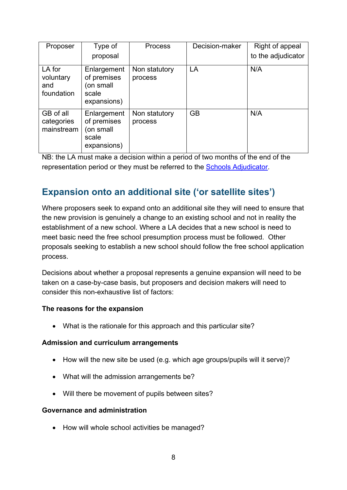| Proposer                                 | Type of                                                         | <b>Process</b>           | Decision-maker | Right of appeal    |
|------------------------------------------|-----------------------------------------------------------------|--------------------------|----------------|--------------------|
|                                          | proposal                                                        |                          |                | to the adjudicator |
| LA for<br>voluntary<br>and<br>foundation | Enlargement<br>of premises<br>(on small<br>scale<br>expansions) | Non statutory<br>process | LA             | N/A                |
| GB of all<br>categories<br>mainstream    | Enlargement<br>of premises<br>(on small<br>scale<br>expansions) | Non statutory<br>process | <b>GB</b>      | N/A                |

#### <span id="page-7-0"></span>**Expansion onto an additional site ('or satellite sites')**

Where proposers seek to expand onto an additional site they will need to ensure that the new provision is genuinely a change to an existing school and not in reality the establishment of a new school. Where a LA decides that a new school is need to meet basic need the free school presumption process must be followed. Other proposals seeking to establish a new school should follow the free school application process.

Decisions about whether a proposal represents a genuine expansion will need to be taken on a case-by-case basis, but proposers and decision makers will need to consider this non-exhaustive list of factors:

#### **The reasons for the expansion**

• What is the rationale for this approach and this particular site?

#### **Admission and curriculum arrangements**

- How will the new site be used (e.g. which age groups/pupils will it serve)?
- What will the admission arrangements be?
- Will there be movement of pupils between sites?

#### **Governance and administration**

• How will whole school activities be managed?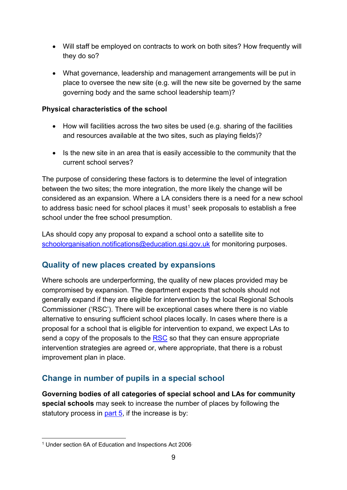- Will staff be employed on contracts to work on both sites? How frequently will they do so?
- What governance, leadership and management arrangements will be put in place to oversee the new site (e.g. will the new site be governed by the same governing body and the same school leadership team)?

#### **Physical characteristics of the school**

- How will facilities across the two sites be used (e.g. sharing of the facilities and resources available at the two sites, such as playing fields)?
- Is the new site in an area that is easily accessible to the community that the current school serves?

The purpose of considering these factors is to determine the level of integration between the two sites; the more integration, the more likely the change will be considered as an expansion. Where a LA considers there is a need for a new school to address basic need for school places it must<sup>[1](#page-8-1)</sup> seek proposals to establish a free school under the free school presumption.

LAs should copy any proposal to expand a school onto a satellite site to [schoolorganisation.notifications@education.gsi.gov.uk](mailto:schoolorganisation.notifications@education.gsi.gov.uk) for monitoring purposes.

#### **Quality of new places created by expansions**

Where schools are underperforming, the quality of new places provided may be compromised by expansion. The department expects that schools should not generally expand if they are eligible for intervention by the local Regional Schools Commissioner ('RSC'). There will be exceptional cases where there is no viable alternative to ensuring sufficient school places locally. In cases where there is a proposal for a school that is eligible for intervention to expand, we expect LAs to send a copy of the proposals to the [RSC](#page-48-0) so that they can ensure appropriate intervention strategies are agreed or, where appropriate, that there is a robust improvement plan in place.

#### <span id="page-8-0"></span>**Change in number of pupils in a special school**

**Governing bodies of all categories of special school and LAs for community special schools** may seek to increase the number of places by following the statutory process in [part 5,](#page-24-0) if the increase is by:

<span id="page-8-1"></span><sup>&</sup>lt;sup>1</sup> Under section 6A of Education and Inspections Act 2006  $\overline{a}$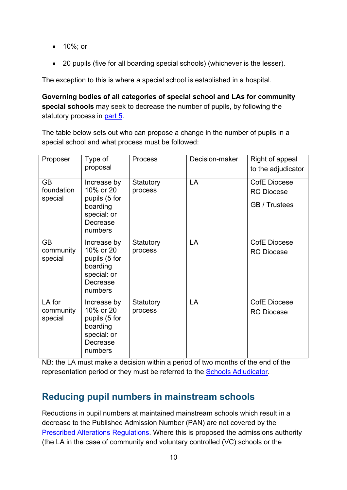- 10%; or
- 20 pupils (five for all boarding special schools) (whichever is the lesser).

The exception to this is where a special school is established in a hospital.

**Governing bodies of all categories of special school and LAs for community special schools** may seek to decrease the number of pupils, by following the statutory process in [part 5.](#page-24-0)

The table below sets out who can propose a change in the number of pupils in a special school and what process must be followed:

| Proposer                           | Type of<br>proposal                                                                         | <b>Process</b>       | Decision-maker | Right of appeal<br>to the adjudicator                            |
|------------------------------------|---------------------------------------------------------------------------------------------|----------------------|----------------|------------------------------------------------------------------|
| <b>GB</b><br>foundation<br>special | Increase by<br>10% or 20<br>pupils (5 for<br>boarding<br>special: or<br>Decrease<br>numbers | Statutory<br>process | LA             | <b>CofE Diocese</b><br><b>RC Diocese</b><br><b>GB</b> / Trustees |
| <b>GB</b><br>community<br>special  | Increase by<br>10% or 20<br>pupils (5 for<br>boarding<br>special: or<br>Decrease<br>numbers | Statutory<br>process | LA             | <b>CofE Diocese</b><br><b>RC Diocese</b>                         |
| LA for<br>community<br>special     | Increase by<br>10% or 20<br>pupils (5 for<br>boarding<br>special: or<br>Decrease<br>numbers | Statutory<br>process | LA             | <b>CofE Diocese</b><br><b>RC Diocese</b>                         |

NB: the LA must make a decision within a period of two months of the end of the representation period or they must be referred to the [Schools Adjudicator.](https://www.gov.uk/government/organisations/office-of-the-schools-adjudicator)

## <span id="page-9-0"></span>**Reducing pupil numbers in mainstream schools**

Reductions in pupil numbers at maintained mainstream schools which result in a decrease to the Published Admission Number (PAN) are not covered by the [Prescribed Alterations Regulations.](http://www.legislation.gov.uk/uksi/2013/3110/contents/made) Where this is proposed the admissions authority (the LA in the case of community and voluntary controlled (VC) schools or the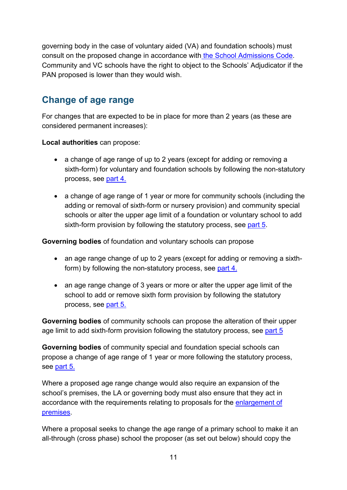governing body in the case of voluntary aided (VA) and foundation schools) must consult on the proposed change in accordance with [the School Admissions Code.](https://www.gov.uk/government/publications/school-admissions-code--2) Community and VC schools have the right to object to the Schools' Adjudicator if the PAN proposed is lower than they would wish.

## <span id="page-10-0"></span>**Change of age range**

For changes that are expected to be in place for more than 2 years (as these are considered permanent increases):

**Local authorities** can propose:

- a change of age range of up to 2 years (except for adding or removing a sixth-form) for voluntary and foundation schools by following the non-statutory process, see [part 4.](#page-21-1)
- a change of age range of 1 year or more for community schools (including the adding or removal of sixth-form or nursery provision) and community special schools or alter the upper age limit of a foundation or voluntary school to add sixth-form provision by following the statutory process, see [part 5.](#page-24-0)

**Governing bodies** of foundation and voluntary schools can propose

- an age range change of up to 2 years (except for adding or removing a sixthform) by following the non-statutory process, see [part 4.](#page-21-1)
- an age range change of 3 years or more or alter the upper age limit of the school to add or remove sixth form provision by following the statutory process, see [part 5.](#page-24-0)

**Governing bodies** of community schools can propose the alteration of their upper age limit to add sixth-form provision following the statutory process, see [part 5](#page-24-0)

**Governing bodies** of community special and foundation special schools can propose a change of age range of 1 year or more following the statutory process, see [part 5.](#page-24-0)

Where a proposed age range change would also require an expansion of the school's premises, the LA or governing body must also ensure that they act in accordance with the requirements relating to proposals for the [enlargement of](#page-6-1)  [premises.](#page-6-1)

Where a proposal seeks to change the age range of a primary school to make it an all-through (cross phase) school the proposer (as set out below) should copy the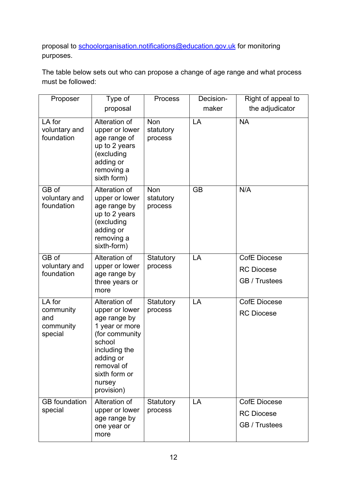proposal to [schoolorganisation.notifications@education.gov.uk](mailto:schoolorganisation.notifications@education.gov.uk) for monitoring purposes.

The table below sets out who can propose a change of age range and what process must be followed:

| Proposer                                           | Type of                                                                                                                                                                            | <b>Process</b>                     | Decision- | Right of appeal to                                        |
|----------------------------------------------------|------------------------------------------------------------------------------------------------------------------------------------------------------------------------------------|------------------------------------|-----------|-----------------------------------------------------------|
|                                                    | proposal                                                                                                                                                                           |                                    | maker     | the adjudicator                                           |
| LA for<br>voluntary and<br>foundation              | Alteration of<br>upper or lower<br>age range of<br>up to 2 years<br>(excluding<br>adding or<br>removing a<br>sixth form)                                                           | <b>Non</b><br>statutory<br>process | LA        | <b>NA</b>                                                 |
| GB of<br>voluntary and<br>foundation               | Alteration of<br>upper or lower<br>age range by<br>up to 2 years<br>(excluding<br>adding or<br>removing a<br>sixth-form)                                                           | <b>Non</b><br>statutory<br>process | <b>GB</b> | N/A                                                       |
| GB of<br>voluntary and<br>foundation               | Alteration of<br>upper or lower<br>age range by<br>three years or<br>more                                                                                                          | Statutory<br>process               | LA        | <b>CofE Diocese</b><br><b>RC Diocese</b><br>GB / Trustees |
| LA for<br>community<br>and<br>community<br>special | Alteration of<br>upper or lower<br>age range by<br>1 year or more<br>(for community<br>school<br>including the<br>adding or<br>removal of<br>sixth form or<br>nursey<br>provision) | Statutory<br>process               | LA        | <b>CofE Diocese</b><br><b>RC Diocese</b>                  |
| <b>GB</b> foundation<br>special                    | Alteration of<br>upper or lower<br>age range by<br>one year or<br>more                                                                                                             | Statutory<br>process               | LA        | <b>CofE Diocese</b><br><b>RC Diocese</b><br>GB / Trustees |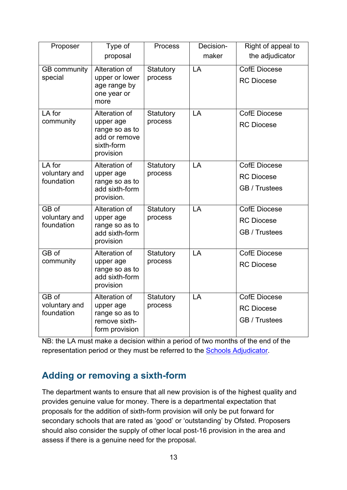| Proposer                              | Type of<br>proposal                                                                      | <b>Process</b>       | Decision-<br>maker | Right of appeal to<br>the adjudicator                     |
|---------------------------------------|------------------------------------------------------------------------------------------|----------------------|--------------------|-----------------------------------------------------------|
| <b>GB</b> community<br>special        | Alteration of<br>upper or lower<br>age range by<br>one year or<br>more                   | Statutory<br>process | LA                 | <b>CofE Diocese</b><br><b>RC</b> Diocese                  |
| LA for<br>community                   | Alteration of<br>upper age<br>range so as to<br>add or remove<br>sixth-form<br>provision | Statutory<br>process | LA                 | <b>CofE Diocese</b><br><b>RC Diocese</b>                  |
| LA for<br>voluntary and<br>foundation | Alteration of<br>upper age<br>range so as to<br>add sixth-form<br>provision.             | Statutory<br>process | LA                 | <b>CofE Diocese</b><br><b>RC Diocese</b><br>GB / Trustees |
| GB of<br>voluntary and<br>foundation  | Alteration of<br>upper age<br>range so as to<br>add sixth-form<br>provision              | Statutory<br>process | LA                 | CofE Diocese<br><b>RC</b> Diocese<br>GB / Trustees        |
| $\overline{G}B$ of<br>community       | Alteration of<br>upper age<br>range so as to<br>add sixth-form<br>provision              | Statutory<br>process | LA                 | <b>CofE Diocese</b><br><b>RC Diocese</b>                  |
| GB of<br>voluntary and<br>foundation  | Alteration of<br>upper age<br>range so as to<br>remove sixth-<br>form provision          | Statutory<br>process | LA                 | <b>CofE Diocese</b><br><b>RC Diocese</b><br>GB / Trustees |

#### <span id="page-12-0"></span>**Adding or removing a sixth-form**

The department wants to ensure that all new provision is of the highest quality and provides genuine value for money. There is a departmental expectation that proposals for the addition of sixth-form provision will only be put forward for secondary schools that are rated as 'good' or 'outstanding' by Ofsted. Proposers should also consider the supply of other local post-16 provision in the area and assess if there is a genuine need for the proposal.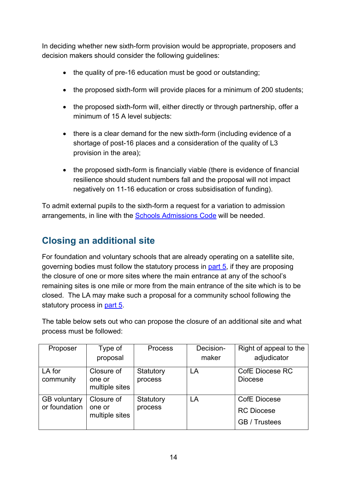In deciding whether new sixth-form provision would be appropriate, proposers and decision makers should consider the following guidelines:

- the quality of pre-16 education must be good or outstanding;
- the proposed sixth-form will provide places for a minimum of 200 students;
- the proposed sixth-form will, either directly or through partnership, offer a minimum of 15 A level subjects:
- there is a clear demand for the new sixth-form (including evidence of a shortage of post-16 places and a consideration of the quality of L3 provision in the area);
- the proposed sixth-form is financially viable (there is evidence of financial resilience should student numbers fall and the proposal will not impact negatively on 11-16 education or cross subsidisation of funding).

To admit external pupils to the sixth-form a request for a variation to admission arrangements, in line with the [Schools Admissions Code](https://www.gov.uk/government/publications/school-admissions-code--2) will be needed.

#### <span id="page-13-0"></span>**Closing an additional site**

For foundation and voluntary schools that are already operating on a satellite site, governing bodies must follow the statutory process in [part 5,](#page-24-0) if they are proposing the closure of one or more sites where the main entrance at any of the school's remaining sites is one mile or more from the main entrance of the site which is to be closed. The LA may make such a proposal for a community school following the statutory process in [part 5.](#page-24-0)

The table below sets out who can propose the closure of an additional site and what process must be followed:

| Proposer                             | Type of                                | <b>Process</b>       | Decision- | Right of appeal to the                                    |
|--------------------------------------|----------------------------------------|----------------------|-----------|-----------------------------------------------------------|
|                                      | proposal                               |                      | maker     | adjudicator                                               |
| LA for<br>community                  | Closure of<br>one or<br>multiple sites | Statutory<br>process | LA        | <b>CofE Diocese RC</b><br><b>Diocese</b>                  |
| <b>GB</b> voluntary<br>or foundation | Closure of<br>one or<br>multiple sites | Statutory<br>process | LA        | <b>CofE Diocese</b><br><b>RC</b> Diocese<br>GB / Trustees |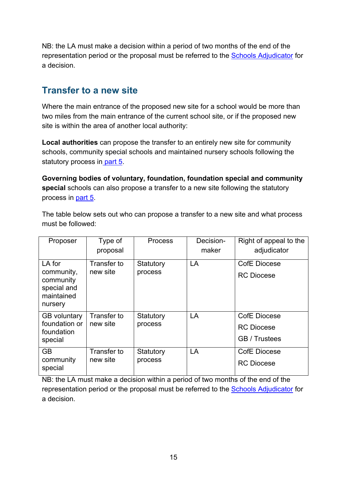#### <span id="page-14-0"></span>**Transfer to a new site**

Where the main entrance of the proposed new site for a school would be more than two miles from the main entrance of the current school site, or if the proposed new site is within the area of another local authority:

**Local authorities** can propose the transfer to an entirely new site for community schools, community special schools and maintained nursery schools following the statutory process in [part 5.](#page-24-0)

**Governing bodies of voluntary, foundation, foundation special and community special** schools can also propose a transfer to a new site following the statutory process in [part 5.](#page-24-0)

The table below sets out who can propose a transfer to a new site and what process must be followed:

| Proposer                                                                  | Type of<br>proposal     | <b>Process</b>       | Decision-<br>maker | Right of appeal to the<br>adjudicator                     |
|---------------------------------------------------------------------------|-------------------------|----------------------|--------------------|-----------------------------------------------------------|
| LA for<br>community,<br>community<br>special and<br>maintained<br>nursery | Transfer to<br>new site | Statutory<br>process | LA                 | <b>CofE Diocese</b><br><b>RC Diocese</b>                  |
| <b>GB</b> voluntary<br>foundation or<br>foundation<br>special             | Transfer to<br>new site | Statutory<br>process | LA                 | <b>CofE Diocese</b><br><b>RC</b> Diocese<br>GB / Trustees |
| <b>GB</b><br>community<br>special                                         | Transfer to<br>new site | Statutory<br>process | LA                 | <b>CofE Diocese</b><br><b>RC</b> Diocese                  |

NB: the LA must make a decision within a period of two months of the end of the representation period or the proposal must be referred to the [Schools Adjudicator](https://www.gov.uk/government/organisations/office-of-the-schools-adjudicator) for a decision.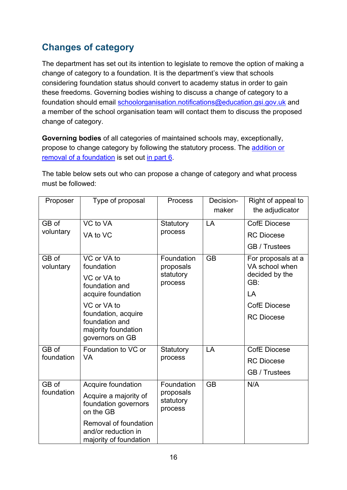## <span id="page-15-0"></span>**Changes of category**

The department has set out its intention to legislate to remove the option of making a change of category to a foundation. It is the department's view that schools considering foundation status should convert to academy status in order to gain these freedoms. Governing bodies wishing to discuss a change of category to a foundation should email [schoolorganisation.notifications@education.gsi.gov.uk](mailto:schoolorganisation.notifications@education.gsi.gov.uk) and a member of the school organisation team will contact them to discuss the proposed change of category.

**Governing bodies** of all categories of maintained schools may, exceptionally, propose to change category by following the statutory process. The [addition or](#page-31-0)  [removal of a foundation](#page-31-0) is set out [in part 6.](#page-31-0)

The table below sets out who can propose a change of category and what process must be followed:

| Proposer   | Type of proposal                                                       | <b>Process</b>                    | Decision-<br>maker | Right of appeal to<br>the adjudicator |
|------------|------------------------------------------------------------------------|-----------------------------------|--------------------|---------------------------------------|
| GB of      | VC to VA                                                               | Statutory                         | LA                 | <b>CofE Diocese</b>                   |
| voluntary  | VA to VC                                                               | process                           |                    | <b>RC</b> Diocese                     |
|            |                                                                        |                                   |                    | GB / Trustees                         |
| GB of      | VC or VA to<br>foundation                                              | Foundation                        | <b>GB</b>          | For proposals at a<br>VA school when  |
| voluntary  |                                                                        | proposals<br>statutory            |                    | decided by the                        |
|            | VC or VA to<br>foundation and                                          | process                           |                    | GB:                                   |
|            | acquire foundation                                                     |                                   |                    | LA                                    |
|            | VC or VA to                                                            |                                   |                    | <b>CofE Diocese</b>                   |
|            | foundation, acquire<br>foundation and                                  |                                   |                    | <b>RC Diocese</b>                     |
|            | majority foundation                                                    |                                   |                    |                                       |
|            | governors on GB                                                        |                                   |                    |                                       |
| GB of      | Foundation to VC or                                                    | Statutory                         | LA                 | <b>CofE Diocese</b>                   |
| foundation | <b>VA</b>                                                              | process                           |                    | <b>RC</b> Diocese                     |
|            |                                                                        |                                   |                    | GB / Trustees                         |
| GB of      | Acquire foundation                                                     | Foundation                        | <b>GB</b>          | N/A                                   |
| foundation | Acquire a majority of<br>foundation governors<br>on the GB             | proposals<br>statutory<br>process |                    |                                       |
|            | Removal of foundation<br>and/or reduction in<br>majority of foundation |                                   |                    |                                       |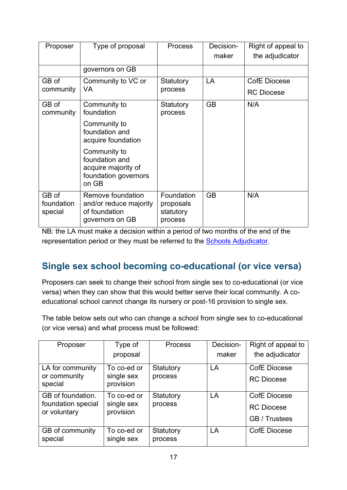| Proposer                       | Type of proposal                                                                       | <b>Process</b>                                  | Decision-<br>maker | Right of appeal to<br>the adjudicator |
|--------------------------------|----------------------------------------------------------------------------------------|-------------------------------------------------|--------------------|---------------------------------------|
|                                | governors on GB                                                                        |                                                 |                    |                                       |
| GB of                          | Community to VC or                                                                     | Statutory                                       | LA                 | <b>CofE Diocese</b>                   |
| community                      | VA                                                                                     | process                                         |                    | <b>RC Diocese</b>                     |
| GB of<br>community             | Community to<br>foundation                                                             | Statutory<br>process                            | <b>GB</b>          | N/A                                   |
|                                | Community to<br>foundation and<br>acquire foundation                                   |                                                 |                    |                                       |
|                                | Community to<br>foundation and<br>acquire majority of<br>foundation governors<br>on GB |                                                 |                    |                                       |
| GB of<br>foundation<br>special | Remove foundation<br>and/or reduce majority<br>of foundation<br>governors on GB        | Foundation<br>proposals<br>statutory<br>process | <b>GB</b>          | N/A                                   |

#### <span id="page-16-0"></span>**Single sex school becoming co-educational (or vice versa)**

Proposers can seek to change their school from single sex to co-educational (or vice versa) when they can show that this would better serve their local community. A coeducational school cannot change its nursery or post-16 provision to single sex.

The table below sets out who can change a school from single sex to co-educational (or vice versa) and what process must be followed:

| Proposer                           | Type of                   | Process              | Decision- | Right of appeal to  |
|------------------------------------|---------------------------|----------------------|-----------|---------------------|
|                                    | proposal                  |                      | maker     | the adjudicator     |
| LA for community                   | To co-ed or               | Statutory            | LA        | <b>CofE Diocese</b> |
| or community<br>special            | single sex<br>provision   | process              |           | <b>RC</b> Diocese   |
| GB of foundation.                  | To co-ed or               | Statutory            | LA        | <b>CofE Diocese</b> |
| foundation special<br>or voluntary | single sex<br>provision   | process              |           | <b>RC</b> Diocese   |
|                                    |                           |                      |           | GB / Trustees       |
| GB of community<br>special         | To co-ed or<br>single sex | Statutory<br>process | LA        | <b>CofE Diocese</b> |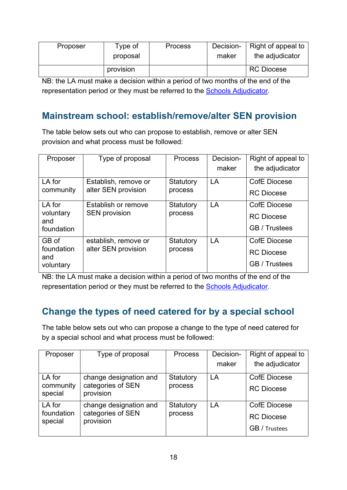| Proposer | Type of<br>proposal | <b>Process</b> | Decision-<br>maker | Right of appeal to<br>the adjudicator |
|----------|---------------------|----------------|--------------------|---------------------------------------|
|          | provision           |                |                    | <b>RC Diocese</b>                     |

#### <span id="page-17-0"></span>**Mainstream school: establish/remove/alter SEN provision**

The table below sets out who can propose to establish, remove or alter SEN provision and what process must be followed:

| Proposer                                 | Type of proposal                            | <b>Process</b>       | Decision-<br>maker | Right of appeal to<br>the adjudicator                     |
|------------------------------------------|---------------------------------------------|----------------------|--------------------|-----------------------------------------------------------|
| LA for<br>community                      | Establish, remove or<br>alter SEN provision | Statutory<br>process | LA                 | <b>CofE Diocese</b><br><b>RC</b> Diocese                  |
| LA for<br>voluntary<br>and<br>foundation | Establish or remove<br><b>SEN provision</b> | Statutory<br>process | LA                 | <b>CofE Diocese</b><br><b>RC</b> Diocese<br>GB / Trustees |
| GB of<br>foundation<br>and<br>voluntary  | establish, remove or<br>alter SEN provision | Statutory<br>process | LA                 | CofE Diocese<br><b>RC</b> Diocese<br>GB / Trustees        |

NB: the LA must make a decision within a period of two months of the end of the representation period or they must be referred to the [Schools Adjudicator.](https://www.gov.uk/government/organisations/office-of-the-schools-adjudicator)

#### <span id="page-17-1"></span>**Change the types of need catered for by a special school**

The table below sets out who can propose a change to the type of need catered for by a special school and what process must be followed:

| Proposer              | Type of proposal               | <b>Process</b> | Decision- | Right of appeal to   |
|-----------------------|--------------------------------|----------------|-----------|----------------------|
|                       |                                |                | maker     | the adjudicator      |
| LA for                | change designation and         | Statutory      | LA        | <b>CofE Diocese</b>  |
| community<br>special  | categories of SEN<br>provision | process        |           | <b>RC</b> Diocese    |
| LA for                | change designation and         | Statutory      | LA        | <b>CofE Diocese</b>  |
| foundation<br>special | categories of SEN<br>provision | process        |           | <b>RC</b> Diocese    |
|                       |                                |                |           | <b>GB</b> / Trustees |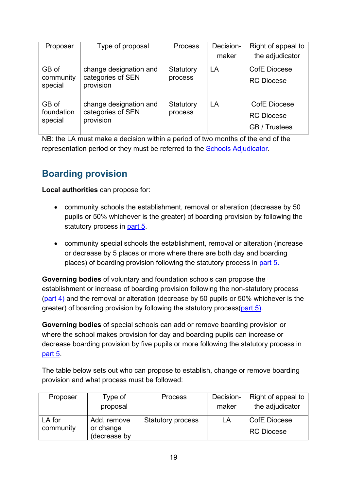| Proposer                       | Type of proposal                                         | <b>Process</b>       | Decision-<br>maker | Right of appeal to<br>the adjudicator              |
|--------------------------------|----------------------------------------------------------|----------------------|--------------------|----------------------------------------------------|
| GB of<br>community<br>special  | change designation and<br>categories of SEN<br>provision | Statutory<br>process | LA                 | CofE Diocese<br><b>RC</b> Diocese                  |
| GB of<br>foundation<br>special | change designation and<br>categories of SEN<br>provision | Statutory<br>process | LA                 | CofE Diocese<br><b>RC</b> Diocese<br>GB / Trustees |

#### <span id="page-18-0"></span>**Boarding provision**

**Local authorities** can propose for:

- community schools the establishment, removal or alteration (decrease by 50 pupils or 50% whichever is the greater) of boarding provision by following the statutory process in [part 5.](#page-24-0)
- community special schools the establishment, removal or alteration (increase or decrease by 5 places or more where there are both day and boarding places) of boarding provision following the statutory process in [part 5.](#page-24-0)

**Governing bodies** of voluntary and foundation schools can propose the establishment or increase of boarding provision following the non-statutory process  $\frac{\frac{1}{2}}{\frac{1}{2}}$  and the removal or alteration (decrease by 50 pupils or 50% whichever is the greater) of boarding provision by following the statutory process[\(part 5\)](#page-24-0).

**Governing bodies** of special schools can add or remove boarding provision or where the school makes provision for day and boarding pupils can increase or decrease boarding provision by five pupils or more following the statutory process in [part 5.](#page-24-0)

The table below sets out who can propose to establish, change or remove boarding provision and what process must be followed:

| Proposer  | Type of                   | <b>Process</b>           | Decision- | Right of appeal to |
|-----------|---------------------------|--------------------------|-----------|--------------------|
|           | proposal                  |                          | maker     | the adjudicator    |
| LA for    | Add, remove               | <b>Statutory process</b> | LA        | CofE Diocese       |
| community | or change<br>(decrease by |                          |           | <b>RC Diocese</b>  |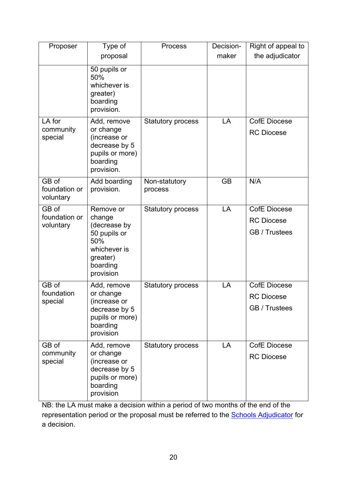| Proposer                            | Type of                                                                                                         | <b>Process</b>           | Decision- | Right of appeal to                                        |
|-------------------------------------|-----------------------------------------------------------------------------------------------------------------|--------------------------|-----------|-----------------------------------------------------------|
|                                     | proposal                                                                                                        |                          | maker     | the adjudicator                                           |
|                                     | 50 pupils or<br>50%<br>whichever is<br>greater)<br>boarding<br>provision.                                       |                          |           |                                                           |
| LA for<br>community<br>special      | Add, remove<br>or change<br>(increase or<br>decrease by 5<br>pupils or more)<br>boarding<br>provision.          | Statutory process        | LA        | <b>CofE Diocese</b><br><b>RC Diocese</b>                  |
| GB of<br>foundation or<br>voluntary | Add boarding<br>provision.                                                                                      | Non-statutory<br>process | <b>GB</b> | N/A                                                       |
| GB of<br>foundation or<br>voluntary | Remove or<br>change<br>(decrease by<br>50 pupils or<br>50%<br>whichever is<br>greater)<br>boarding<br>provision | <b>Statutory process</b> | LA        | <b>CofE Diocese</b><br><b>RC Diocese</b><br>GB / Trustees |
| GB of<br>foundation<br>special      | Add, remove<br>or change<br>(increase or<br>decrease by 5<br>pupils or more)<br>boarding<br>provision           | <b>Statutory process</b> | LA        | <b>CofE Diocese</b><br><b>RC Diocese</b><br>GB / Trustees |
| GB of<br>community<br>special       | Add, remove<br>or change<br>(increase or<br>decrease by 5<br>pupils or more)<br>boarding<br>provision           | <b>Statutory process</b> | LA        | <b>CofE Diocese</b><br><b>RC Diocese</b>                  |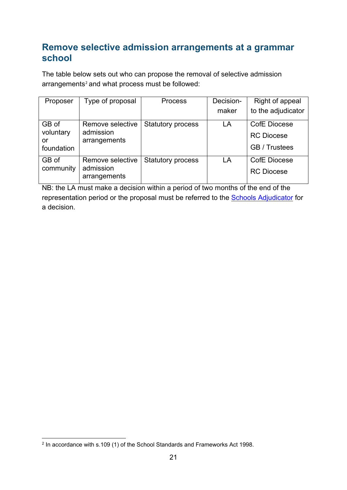#### <span id="page-20-0"></span>**Remove selective admission arrangements at a grammar school**

The table below sets out who can propose the removal of selective admission arrangements<sup>[2](#page-20-1)</sup> and what process must be followed:

| Proposer         | Type of proposal          | <b>Process</b>           | Decision- | Right of appeal     |
|------------------|---------------------------|--------------------------|-----------|---------------------|
|                  |                           |                          | maker     | to the adjudicator  |
| GB of            | Remove selective          | <b>Statutory process</b> | LA        | CofE Diocese        |
| voluntary        | admission                 |                          |           | <b>RC Diocese</b>   |
| or<br>foundation | arrangements              |                          |           | GB / Trustees       |
| GB of            | Remove selective          | <b>Statutory process</b> | LA        | <b>CofE Diocese</b> |
| community        | admission<br>arrangements |                          |           | <b>RC Diocese</b>   |

NB: the LA must make a decision within a period of two months of the end of the representation period or the proposal must be referred to the [Schools Adjudicator](https://www.gov.uk/government/organisations/office-of-the-schools-adjudicator) for a decision.

<span id="page-20-1"></span> $2$  In accordance with s.109 (1) of the School Standards and Frameworks Act 1998.  $\overline{a}$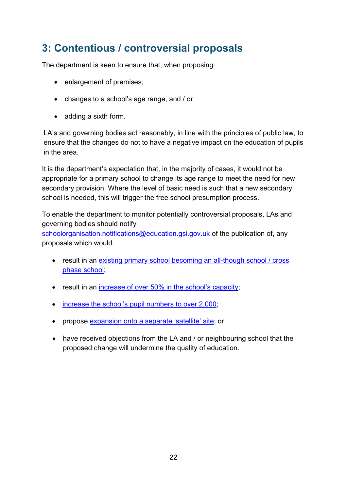# <span id="page-21-0"></span>**3: Contentious / controversial proposals**

The department is keen to ensure that, when proposing:

- enlargement of premises;
- changes to a school's age range, and / or
- adding a sixth form.

LA's and governing bodies act reasonably, in line with the principles of public law, to ensure that the changes do not to have a negative impact on the education of pupils in the area.

It is the department's expectation that, in the majority of cases, it would not be appropriate for a primary school to change its age range to meet the need for new secondary provision. Where the level of basic need is such that a new secondary school is needed, this will trigger the free school presumption process.

To enable the department to monitor potentially controversial proposals, LAs and governing bodies should notify

[schoolorganisation.notifications@education.gsi.gov.uk](mailto:schoolorganisation.notifications@education.gsi.gov.uk) of the publication of, any proposals which would:

- result in an [existing primary school becoming an all-though school](#page-10-0) / cross [phase school;](#page-10-0)
- result in an [increase of over 50% in the school's capacity;](#page-6-1)
- [increase the school's pupil numbers to over 2,000;](#page-6-1)
- propose [expansion onto a separate 'satellite' site;](#page-7-0) or
- <span id="page-21-1"></span>• have received objections from the LA and / or neighbouring school that the proposed change will undermine the quality of education.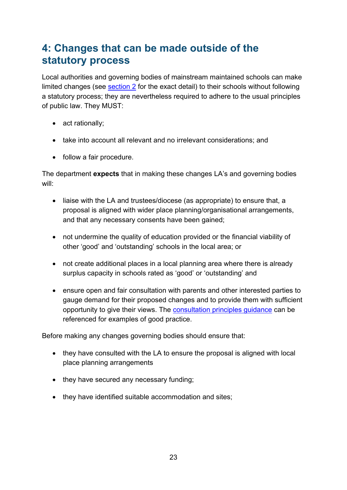# <span id="page-22-0"></span>**4: Changes that can be made outside of the statutory process**

Local authorities and governing bodies of mainstream maintained schools can make limited changes (see [section 2](#page-6-0) for the exact detail) to their schools without following a statutory process; they are nevertheless required to adhere to the usual principles of public law. They MUST:

- act rationally;
- take into account all relevant and no irrelevant considerations; and
- follow a fair procedure.

The department **expects** that in making these changes LA's and governing bodies will:

- liaise with the LA and trustees/diocese (as appropriate) to ensure that, a proposal is aligned with wider place planning/organisational arrangements, and that any necessary consents have been gained;
- not undermine the quality of education provided or the financial viability of other 'good' and 'outstanding' schools in the local area; or
- not create additional places in a local planning area where there is already surplus capacity in schools rated as 'good' or 'outstanding' and
- ensure open and fair consultation with parents and other interested parties to gauge demand for their proposed changes and to provide them with sufficient opportunity to give their views. The [consultation principles guidance](https://www.gov.uk/government/publications/consultation-principles-guidance) can be referenced for examples of good practice.

Before making any changes governing bodies should ensure that:

- they have consulted with the LA to ensure the proposal is aligned with local place planning arrangements
- they have secured any necessary funding;
- they have identified suitable accommodation and sites;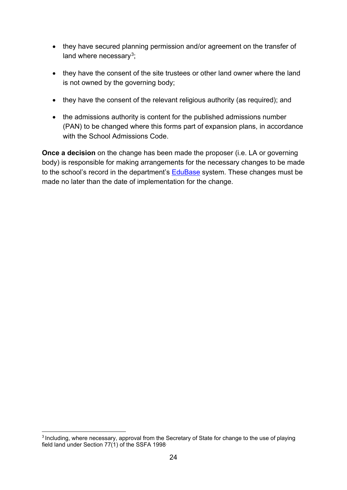- they have secured planning permission and/or agreement on the transfer of land where necessary $3$ ;
- they have the consent of the site trustees or other land owner where the land is not owned by the governing body;
- they have the consent of the relevant religious authority (as required); and
- the admissions authority is content for the published admissions number (PAN) to be changed where this forms part of expansion plans, in accordance with the School Admissions Code.

**Once a decision** on the change has been made the proposer (i.e. LA or governing body) is responsible for making arrangements for the necessary changes to be made to the school's record in the department's [EduBase](http://www.education.gov.uk/edubase/home.xhtml) system. These changes must be made no later than the date of implementation for the change.

<span id="page-23-0"></span><sup>&</sup>lt;sup>3</sup> Including, where necessary, approval from the Secretary of State for change to the use of playing field land under Section 77(1) of the SSFA 1998. **.**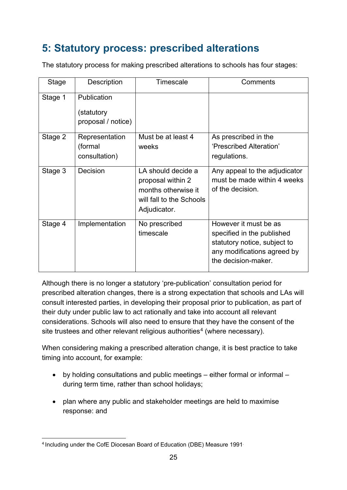# <span id="page-24-0"></span>**5: Statutory process: prescribed alterations**

The statutory process for making prescribed alterations to schools has four stages:

| Stage   | Description                                     | Timescale                                                                                                  | Comments                                                                                                                                  |
|---------|-------------------------------------------------|------------------------------------------------------------------------------------------------------------|-------------------------------------------------------------------------------------------------------------------------------------------|
| Stage 1 | Publication<br>(statutory<br>proposal / notice) |                                                                                                            |                                                                                                                                           |
| Stage 2 | Representation<br>(formal<br>consultation)      | Must be at least 4<br>weeks                                                                                | As prescribed in the<br>'Prescribed Alteration'<br>regulations.                                                                           |
| Stage 3 | Decision                                        | LA should decide a<br>proposal within 2<br>months otherwise it<br>will fall to the Schools<br>Adjudicator. | Any appeal to the adjudicator<br>must be made within 4 weeks<br>of the decision.                                                          |
| Stage 4 | Implementation                                  | No prescribed<br>timescale                                                                                 | However it must be as<br>specified in the published<br>statutory notice, subject to<br>any modifications agreed by<br>the decision-maker. |

Although there is no longer a statutory 'pre-publication' consultation period for prescribed alteration changes, there is a strong expectation that schools and LAs will consult interested parties, in developing their proposal prior to publication, as part of their duty under public law to act rationally and take into account all relevant considerations. Schools will also need to ensure that they have the consent of the site trustees and other relevant religious authorities<sup>[4](#page-24-1)</sup> (where necessary).

When considering making a prescribed alteration change, it is best practice to take timing into account, for example:

- by holding consultations and public meetings either formal or informal during term time, rather than school holidays;
- plan where any public and stakeholder meetings are held to maximise response: and

<span id="page-24-1"></span><sup>4</sup> Including under the CofE Diocesan Board of Education (DBE) Measure 1991.  $\overline{a}$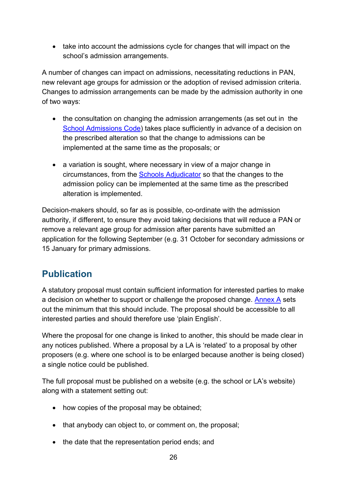• take into account the admissions cycle for changes that will impact on the school's admission arrangements.

A number of changes can impact on admissions, necessitating reductions in PAN, new relevant age groups for admission or the adoption of revised admission criteria. Changes to admission arrangements can be made by the admission authority in one of two ways:

- the consultation on changing the admission arrangements (as set out in the [School Admissions Code\)](https://www.gov.uk/government/publications/school-admissions-code--2) takes place sufficiently in advance of a decision on the prescribed alteration so that the change to admissions can be implemented at the same time as the proposals; or
- a variation is sought, where necessary in view of a major change in circumstances, from the [Schools Adjudicator](https://www.gov.uk/government/organisations/office-of-the-schools-adjudicator) so that the changes to the admission policy can be implemented at the same time as the prescribed alteration is implemented.

Decision-makers should, so far as is possible, co-ordinate with the admission authority, if different, to ensure they avoid taking decisions that will reduce a PAN or remove a relevant age group for admission after parents have submitted an application for the following September (e.g. 31 October for secondary admissions or 15 January for primary admissions.

#### <span id="page-25-0"></span>**Publication**

A statutory proposal must contain sufficient information for interested parties to make a decision on whether to support or challenge the proposed change. [Annex A](#page-43-0) sets out the minimum that this should include. The proposal should be accessible to all interested parties and should therefore use 'plain English'.

Where the proposal for one change is linked to another, this should be made clear in any notices published. Where a proposal by a LA is 'related' to a proposal by other proposers (e.g. where one school is to be enlarged because another is being closed) a single notice could be published.

The full proposal must be published on a website (e.g. the school or LA's website) along with a statement setting out:

- how copies of the proposal may be obtained;
- that anybody can object to, or comment on, the proposal;
- the date that the representation period ends; and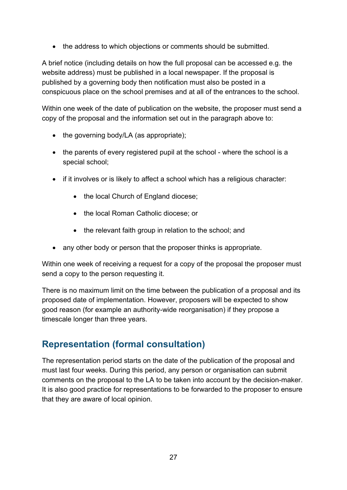• the address to which objections or comments should be submitted.

A brief notice (including details on how the full proposal can be accessed e.g. the website address) must be published in a local newspaper. If the proposal is published by a governing body then notification must also be posted in a conspicuous place on the school premises and at all of the entrances to the school.

Within one week of the date of publication on the website, the proposer must send a copy of the proposal and the information set out in the paragraph above to:

- the governing body/LA (as appropriate);
- the parents of every registered pupil at the school where the school is a special school;
- if it involves or is likely to affect a school which has a religious character:
	- the local Church of England diocese;
	- the local Roman Catholic diocese; or
	- the relevant faith group in relation to the school; and
- any other body or person that the proposer thinks is appropriate.

Within one week of receiving a request for a copy of the proposal the proposer must send a copy to the person requesting it.

There is no maximum limit on the time between the publication of a proposal and its proposed date of implementation. However, proposers will be expected to show good reason (for example an authority-wide reorganisation) if they propose a timescale longer than three years.

#### <span id="page-26-0"></span>**Representation (formal consultation)**

The representation period starts on the date of the publication of the proposal and must last four weeks. During this period, any person or organisation can submit comments on the proposal to the LA to be taken into account by the decision-maker. It is also good practice for representations to be forwarded to the proposer to ensure that they are aware of local opinion.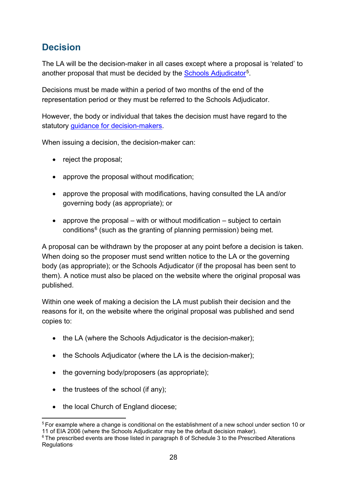#### <span id="page-27-0"></span>**Decision**

The LA will be the decision-maker in all cases except where a proposal is 'related' to another proposal that must be decided by the [Schools Adjudicator](https://www.gov.uk/government/organisations/office-of-the-schools-adjudicator)<sup>[5](#page-27-1)</sup>.

Decisions must be made within a period of two months of the end of the representation period or they must be referred to the Schools Adjudicator.

However, the body or individual that takes the decision must have regard to the statutory [guidance for decision-makers.](https://www.gov.uk/government/publications/school-organisation-maintained-schools)

When issuing a decision, the decision-maker can:

- reject the proposal;
- approve the proposal without modification;
- approve the proposal with modifications, having consulted the LA and/or governing body (as appropriate); or
- approve the proposal  $-$  with or without modification  $-$  subject to certain conditions<sup>[6](#page-27-2)</sup> (such as the granting of planning permission) being met.

A proposal can be withdrawn by the proposer at any point before a decision is taken. When doing so the proposer must send written notice to the LA or the governing body (as appropriate); or the Schools Adjudicator (if the proposal has been sent to them). A notice must also be placed on the website where the original proposal was published.

Within one week of making a decision the LA must publish their decision and the reasons for it, on the website where the original proposal was published and send copies to:

- the LA (where the Schools Adjudicator is the decision-maker);
- the Schools Adjudicator (where the LA is the decision-maker);
- the governing body/proposers (as appropriate);
- the trustees of the school (if any);
- the local Church of England diocese;

<span id="page-27-1"></span><sup>5</sup> For example where a change is conditional on the establishment of a new school under section 10 or 11 of EIA 2006 (where the Schools Adjudicator may be the default decision maker).  $\overline{a}$ 

<span id="page-27-2"></span><sup>&</sup>lt;sup>6</sup> The prescribed events are those listed in paragraph 8 of Schedule 3 to the Prescribed Alterations **Requlations**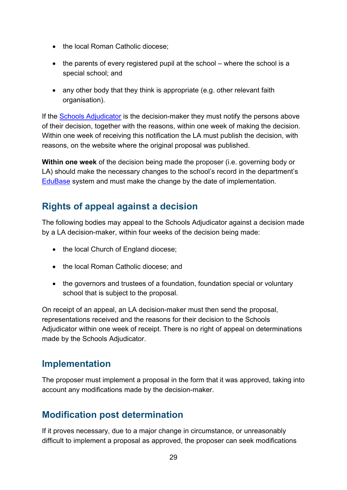- the local Roman Catholic diocese;
- the parents of every registered pupil at the school where the school is a special school; and
- any other body that they think is appropriate (e.g. other relevant faith organisation).

If the **Schools Adjudicator** is the decision-maker they must notify the persons above of their decision, together with the reasons, within one week of making the decision. Within one week of receiving this notification the LA must publish the decision, with reasons, on the website where the original proposal was published.

**Within one week** of the decision being made the proposer (i.e. governing body or LA) should make the necessary changes to the school's record in the department's [EduBase](http://www.education.gov.uk/edubase/home.xhtml) system and must make the change by the date of implementation.

#### <span id="page-28-0"></span>**Rights of appeal against a decision**

The following bodies may appeal to the Schools Adjudicator against a decision made by a LA decision-maker, within four weeks of the decision being made:

- the local Church of England diocese;
- the local Roman Catholic diocese: and
- the governors and trustees of a foundation, foundation special or voluntary school that is subject to the proposal.

On receipt of an appeal, an LA decision-maker must then send the proposal, representations received and the reasons for their decision to the Schools Adjudicator within one week of receipt. There is no right of appeal on determinations made by the Schools Adjudicator.

#### <span id="page-28-1"></span>**Implementation**

The proposer must implement a proposal in the form that it was approved, taking into account any modifications made by the decision-maker.

#### <span id="page-28-2"></span>**Modification post determination**

If it proves necessary, due to a major change in circumstance, or unreasonably difficult to implement a proposal as approved, the proposer can seek modifications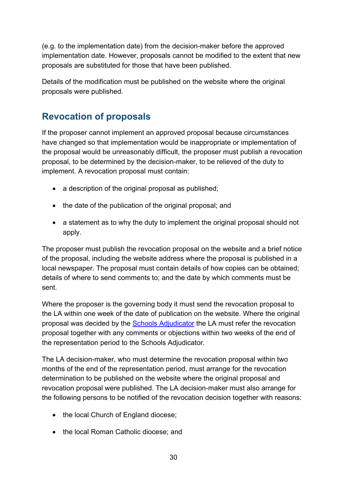(e.g. to the implementation date) from the decision-maker before the approved implementation date. However, proposals cannot be modified to the extent that new proposals are substituted for those that have been published.

Details of the modification must be published on the website where the original proposals were published.

#### <span id="page-29-0"></span>**Revocation of proposals**

If the proposer cannot implement an approved proposal because circumstances have changed so that implementation would be inappropriate or implementation of the proposal would be unreasonably difficult, the proposer must publish a revocation proposal, to be determined by the decision-maker, to be relieved of the duty to implement. A revocation proposal must contain:

- a description of the original proposal as published;
- the date of the publication of the original proposal; and
- a statement as to why the duty to implement the original proposal should not apply.

The proposer must publish the revocation proposal on the website and a brief notice of the proposal, including the website address where the proposal is published in a local newspaper. The proposal must contain details of how copies can be obtained; details of where to send comments to; and the date by which comments must be sent.

Where the proposer is the governing body it must send the revocation proposal to the LA within one week of the date of publication on the website. Where the original proposal was decided by the [Schools Adjudicator](https://www.gov.uk/government/organisations/office-of-the-schools-adjudicator) the LA must refer the revocation proposal together with any comments or objections within two weeks of the end of the representation period to the Schools Adjudicator.

The LA decision-maker, who must determine the revocation proposal within two months of the end of the representation period, must arrange for the revocation determination to be published on the website where the original proposal and revocation proposal were published. The LA decision-maker must also arrange for the following persons to be notified of the revocation decision together with reasons:

- the local Church of England diocese;
- the local Roman Catholic diocese; and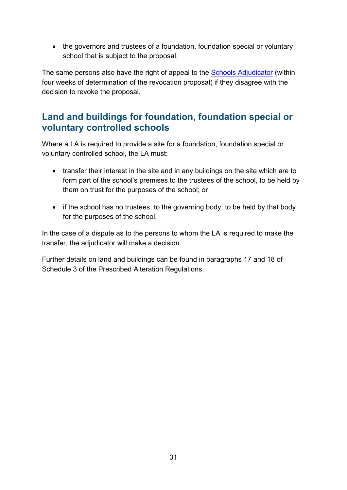• the governors and trustees of a foundation, foundation special or voluntary school that is subject to the proposal.

The same persons also have the right of appeal to the **Schools Adjudicator** (within four weeks of determination of the revocation proposal) if they disagree with the decision to revoke the proposal.

#### <span id="page-30-0"></span>**Land and buildings for foundation, foundation special or voluntary controlled schools**

Where a LA is required to provide a site for a foundation, foundation special or voluntary controlled school, the LA must:

- transfer their interest in the site and in any buildings on the site which are to form part of the school's premises to the trustees of the school, to be held by them on trust for the purposes of the school; or
- if the school has no trustees, to the governing body, to be held by that body for the purposes of the school.

In the case of a dispute as to the persons to whom the LA is required to make the transfer, the adjudicator will make a decision.

Further details on land and buildings can be found in paragraphs 17 and 18 of Schedule 3 of the Prescribed Alteration Regulations.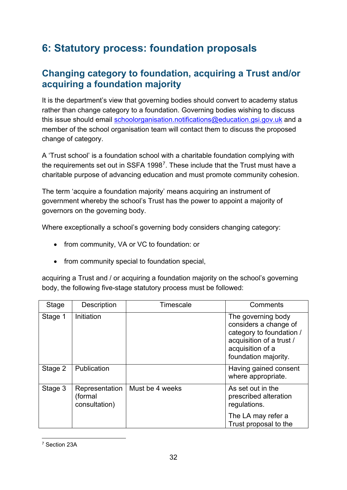# <span id="page-31-0"></span>**6: Statutory process: foundation proposals**

#### <span id="page-31-1"></span>**Changing category to foundation, acquiring a Trust and/or acquiring a foundation majority**

It is the department's view that governing bodies should convert to academy status rather than change category to a foundation. Governing bodies wishing to discuss this issue should email [schoolorganisation.notifications@education.gsi.gov.uk](mailto:schoolorganisation.notifications@education.gsi.gov.uk) and a member of the school organisation team will contact them to discuss the proposed change of category.

A 'Trust school' is a foundation school with a charitable foundation complying with the requirements set out in SSFA 1998[7.](#page-31-2) These include that the Trust must have a charitable purpose of advancing education and must promote community cohesion.

The term 'acquire a foundation majority' means acquiring an instrument of government whereby the school's Trust has the power to appoint a majority of governors on the governing body.

Where exceptionally a school's governing body considers changing category:

- from community, VA or VC to foundation: or
- from community special to foundation special,

acquiring a Trust and / or acquiring a foundation majority on the school's governing body, the following five-stage statutory process must be followed:

<span id="page-31-2"></span>

| Stage   | Description                                | Timescale       | Comments                                                                                                                                        |
|---------|--------------------------------------------|-----------------|-------------------------------------------------------------------------------------------------------------------------------------------------|
| Stage 1 | Initiation                                 |                 | The governing body<br>considers a change of<br>category to foundation /<br>acquisition of a trust /<br>acquisition of a<br>foundation majority. |
| Stage 2 | Publication                                |                 | Having gained consent<br>where appropriate.                                                                                                     |
| Stage 3 | Representation<br>(formal<br>consultation) | Must be 4 weeks | As set out in the<br>prescribed alteration<br>regulations.                                                                                      |
|         |                                            |                 | The LA may refer a<br>Trust proposal to the                                                                                                     |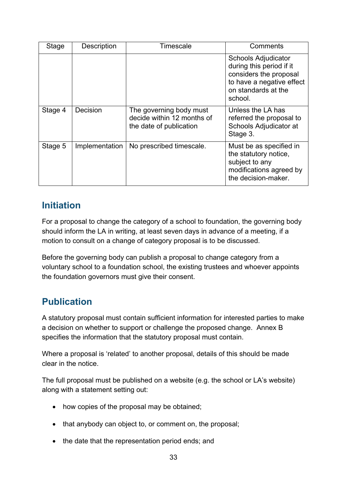| Stage   | Description    | Timescale                                                                        | Comments                                                                                                                                        |
|---------|----------------|----------------------------------------------------------------------------------|-------------------------------------------------------------------------------------------------------------------------------------------------|
|         |                |                                                                                  | <b>Schools Adjudicator</b><br>during this period if it<br>considers the proposal<br>to have a negative effect<br>on standards at the<br>school. |
| Stage 4 | Decision       | The governing body must<br>decide within 12 months of<br>the date of publication | Unless the LA has<br>referred the proposal to<br>Schools Adjudicator at<br>Stage 3.                                                             |
| Stage 5 | Implementation | No prescribed timescale.                                                         | Must be as specified in<br>the statutory notice,<br>subject to any<br>modifications agreed by<br>the decision-maker.                            |

#### <span id="page-32-0"></span>**Initiation**

For a proposal to change the category of a school to foundation, the governing body should inform the LA in writing, at least seven days in advance of a meeting, if a motion to consult on a change of category proposal is to be discussed.

Before the governing body can publish a proposal to change category from a voluntary school to a foundation school, the existing trustees and whoever appoints the foundation governors must give their consent.

## <span id="page-32-1"></span>**Publication**

A statutory proposal must contain sufficient information for interested parties to make a decision on whether to support or challenge the proposed change. Annex B specifies the information that the statutory proposal must contain.

Where a proposal is 'related' to another proposal, details of this should be made clear in the notice.

The full proposal must be published on a website (e.g. the school or LA's website) along with a statement setting out:

- how copies of the proposal may be obtained;
- that anybody can object to, or comment on, the proposal;
- the date that the representation period ends; and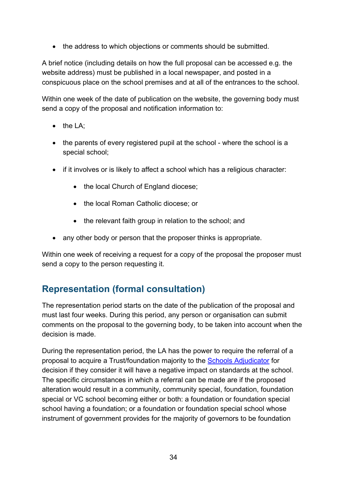• the address to which objections or comments should be submitted.

A brief notice (including details on how the full proposal can be accessed e.g. the website address) must be published in a local newspaper, and posted in a conspicuous place on the school premises and at all of the entrances to the school.

Within one week of the date of publication on the website, the governing body must send a copy of the proposal and notification information to:

- the LA:
- the parents of every registered pupil at the school where the school is a special school;
- if it involves or is likely to affect a school which has a religious character:
	- the local Church of England diocese;
	- the local Roman Catholic diocese; or
	- the relevant faith group in relation to the school; and
- any other body or person that the proposer thinks is appropriate.

Within one week of receiving a request for a copy of the proposal the proposer must send a copy to the person requesting it.

#### <span id="page-33-0"></span>**Representation (formal consultation)**

The representation period starts on the date of the publication of the proposal and must last four weeks. During this period, any person or organisation can submit comments on the proposal to the governing body, to be taken into account when the decision is made.

During the representation period, the LA has the power to require the referral of a proposal to acquire a Trust/foundation majority to the [Schools Adjudicator](https://www.gov.uk/government/organisations/office-of-the-schools-adjudicator) for decision if they consider it will have a negative impact on standards at the school. The specific circumstances in which a referral can be made are if the proposed alteration would result in a community, community special, foundation, foundation special or VC school becoming either or both: a foundation or foundation special school having a foundation; or a foundation or foundation special school whose instrument of government provides for the majority of governors to be foundation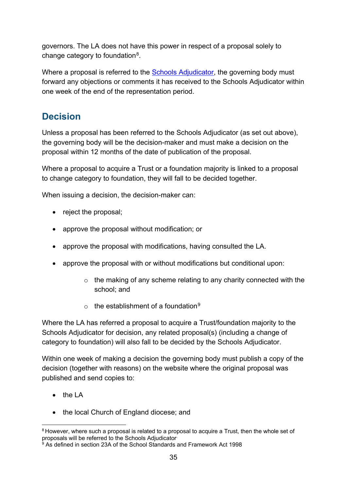governors. The LA does not have this power in respect of a proposal solely to change category to foundation<sup>[8](#page-34-1)</sup>.

Where a proposal is referred to the **Schools Adjudicator**, the governing body must forward any objections or comments it has received to the Schools Adjudicator within one week of the end of the representation period.

#### <span id="page-34-0"></span>**Decision**

Unless a proposal has been referred to the Schools Adjudicator (as set out above), the governing body will be the decision-maker and must make a decision on the proposal within 12 months of the date of publication of the proposal.

Where a proposal to acquire a Trust or a foundation majority is linked to a proposal to change category to foundation, they will fall to be decided together.

When issuing a decision, the decision-maker can:

- reject the proposal;
- approve the proposal without modification; or
- approve the proposal with modifications, having consulted the LA.
- approve the proposal with or without modifications but conditional upon:
	- o the making of any scheme relating to any charity connected with the school; and
	- $\circ$  the establishment of a foundation<sup>9</sup>

Where the LA has referred a proposal to acquire a Trust/foundation majority to the Schools Adjudicator for decision, any related proposal(s) (including a change of category to foundation) will also fall to be decided by the Schools Adjudicator.

Within one week of making a decision the governing body must publish a copy of the decision (together with reasons) on the website where the original proposal was published and send copies to:

• the LA

**.** 

• the local Church of England diocese; and

<span id="page-34-1"></span><sup>&</sup>lt;sup>8</sup> However, where such a proposal is related to a proposal to acquire a Trust, then the whole set of proposals will be referred to the Schools Adjudicator.

<span id="page-34-2"></span><sup>&</sup>lt;sup>9</sup> As defined in section 23A of the School Standards and Framework Act 1998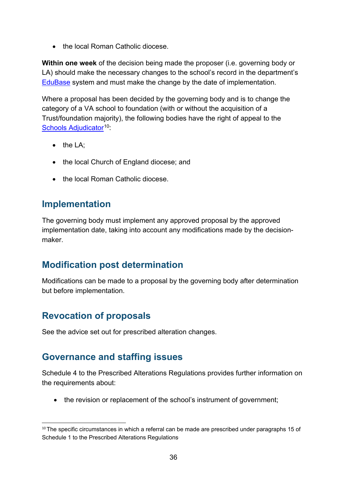• the local Roman Catholic diocese.

**Within one week** of the decision being made the proposer (i.e. governing body or LA) should make the necessary changes to the school's record in the department's [EduBase](http://www.education.gov.uk/edubase/home.xhtml) system and must make the change by the date of implementation.

Where a proposal has been decided by the governing body and is to change the category of a VA school to foundation (with or without the acquisition of a Trust/foundation majority), the following bodies have the right of appeal to the [Schools Adjudicator](https://www.gov.uk/government/organisations/office-of-the-schools-adjudicator)<sup>[10](#page-35-4)</sup>:

- the LA:
- the local Church of England diocese; and
- the local Roman Catholic diocese.

#### <span id="page-35-0"></span>**Implementation**

The governing body must implement any approved proposal by the approved implementation date, taking into account any modifications made by the decisionmaker.

#### <span id="page-35-1"></span>**Modification post determination**

Modifications can be made to a proposal by the governing body after determination but before implementation.

#### <span id="page-35-2"></span>**Revocation of proposals**

See the advice set out for prescribed alteration changes.

#### <span id="page-35-3"></span>**Governance and staffing issues**

Schedule 4 to the Prescribed Alterations Regulations provides further information on the requirements about:

• the revision or replacement of the school's instrument of government;

<span id="page-35-4"></span><sup>&</sup>lt;sup>10</sup>The specific circumstances in which a referral can be made are prescribed under paragraphs 15 of Schedule 1 to the Prescribed Alterations Regulations. **.**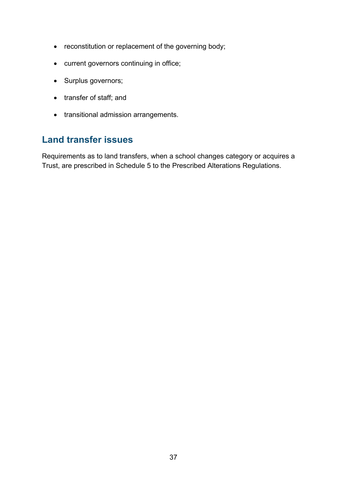- reconstitution or replacement of the governing body;
- current governors continuing in office;
- Surplus governors;
- transfer of staff; and
- transitional admission arrangements.

#### <span id="page-36-0"></span>**Land transfer issues**

Requirements as to land transfers, when a school changes category or acquires a Trust, are prescribed in Schedule 5 to the Prescribed Alterations Regulations.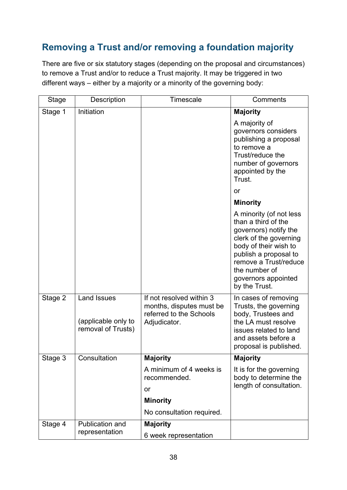## <span id="page-37-0"></span>**Removing a Trust and/or removing a foundation majority**

There are five or six statutory stages (depending on the proposal and circumstances) to remove a Trust and/or to reduce a Trust majority. It may be triggered in two different ways – either by a majority or a minority of the governing body:

| <b>Stage</b> | Description                                                     | Timescale                                                                                       | Comments                                                                                                                                                                                                                              |
|--------------|-----------------------------------------------------------------|-------------------------------------------------------------------------------------------------|---------------------------------------------------------------------------------------------------------------------------------------------------------------------------------------------------------------------------------------|
| Stage 1      | Initiation                                                      |                                                                                                 | <b>Majority</b>                                                                                                                                                                                                                       |
|              |                                                                 |                                                                                                 | A majority of<br>governors considers<br>publishing a proposal<br>to remove a<br>Trust/reduce the<br>number of governors<br>appointed by the<br>Trust.                                                                                 |
|              |                                                                 |                                                                                                 | or                                                                                                                                                                                                                                    |
|              |                                                                 |                                                                                                 | <b>Minority</b>                                                                                                                                                                                                                       |
|              |                                                                 |                                                                                                 | A minority (of not less<br>than a third of the<br>governors) notify the<br>clerk of the governing<br>body of their wish to<br>publish a proposal to<br>remove a Trust/reduce<br>the number of<br>governors appointed<br>by the Trust. |
| Stage 2      | <b>Land Issues</b><br>(applicable only to<br>removal of Trusts) | If not resolved within 3<br>months, disputes must be<br>referred to the Schools<br>Adjudicator. | In cases of removing<br>Trusts, the governing<br>body, Trustees and<br>the LA must resolve<br>issues related to land<br>and assets before a<br>proposal is published.                                                                 |
| Stage 3      | Consultation                                                    | <b>Majority</b>                                                                                 | <b>Majority</b>                                                                                                                                                                                                                       |
|              |                                                                 | A minimum of 4 weeks is<br>recommended.<br>or                                                   | It is for the governing<br>body to determine the<br>length of consultation.                                                                                                                                                           |
|              |                                                                 | <b>Minority</b>                                                                                 |                                                                                                                                                                                                                                       |
|              |                                                                 | No consultation required.                                                                       |                                                                                                                                                                                                                                       |
| Stage 4      | Publication and                                                 | <b>Majority</b>                                                                                 |                                                                                                                                                                                                                                       |
|              | representation                                                  | 6 week representation                                                                           |                                                                                                                                                                                                                                       |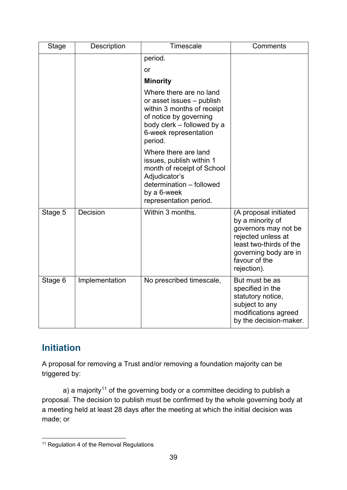| <b>Stage</b> | Description    | <b>Timescale</b>                                                                                                                                                               | Comments                                                                                                                                                                    |
|--------------|----------------|--------------------------------------------------------------------------------------------------------------------------------------------------------------------------------|-----------------------------------------------------------------------------------------------------------------------------------------------------------------------------|
|              |                | period.<br>or                                                                                                                                                                  |                                                                                                                                                                             |
|              |                | <b>Minority</b>                                                                                                                                                                |                                                                                                                                                                             |
|              |                | Where there are no land<br>or asset issues - publish<br>within 3 months of receipt<br>of notice by governing<br>body clerk - followed by a<br>6-week representation<br>period. |                                                                                                                                                                             |
|              |                | Where there are land<br>issues, publish within 1<br>month of receipt of School<br>Adjudicator's<br>determination - followed<br>by a 6-week<br>representation period.           |                                                                                                                                                                             |
| Stage 5      | Decision       | Within 3 months.                                                                                                                                                               | (A proposal initiated<br>by a minority of<br>governors may not be<br>rejected unless at<br>least two-thirds of the<br>governing body are in<br>favour of the<br>rejection). |
| Stage 6      | Implementation | No prescribed timescale,                                                                                                                                                       | But must be as<br>specified in the<br>statutory notice,<br>subject to any<br>modifications agreed<br>by the decision-maker.                                                 |

## <span id="page-38-0"></span>**Initiation**

A proposal for removing a Trust and/or removing a foundation majority can be triggered by:

a) a majority<sup>[11](#page-38-1)</sup> of the governing body or a committee deciding to publish a proposal. The decision to publish must be confirmed by the whole governing body at a meeting held at least 28 days after the meeting at which the initial decision was made; or

<span id="page-38-1"></span><sup>&</sup>lt;sup>11</sup> Regulation 4 of the Removal Regulations  $\overline{a}$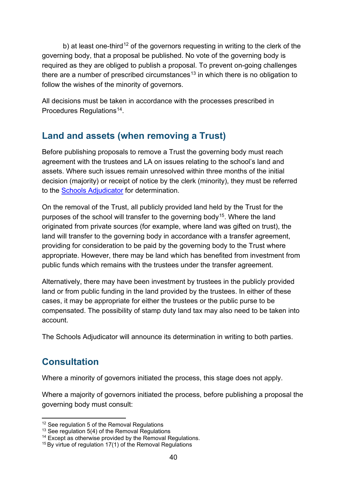b) at least one-third<sup>[12](#page-39-2)</sup> of the governors requesting in writing to the clerk of the governing body, that a proposal be published. No vote of the governing body is required as they are obliged to publish a proposal. To prevent on-going challenges there are a number of prescribed circumstances<sup>[13](#page-39-3)</sup> in which there is no obligation to follow the wishes of the minority of governors.

All decisions must be taken in accordance with the processes prescribed in Procedures Regulations<sup>14</sup>.

#### <span id="page-39-0"></span>**Land and assets (when removing a Trust)**

Before publishing proposals to remove a Trust the governing body must reach agreement with the trustees and LA on issues relating to the school's land and assets. Where such issues remain unresolved within three months of the initial decision (majority) or receipt of notice by the clerk (minority), they must be referred to the [Schools Adjudicator](https://www.gov.uk/government/organisations/office-of-the-schools-adjudicator) for determination.

On the removal of the Trust, all publicly provided land held by the Trust for the purposes of the school will transfer to the governing body<sup>15</sup>. Where the land originated from private sources (for example, where land was gifted on trust), the land will transfer to the governing body in accordance with a transfer agreement, providing for consideration to be paid by the governing body to the Trust where appropriate. However, there may be land which has benefited from investment from public funds which remains with the trustees under the transfer agreement.

Alternatively, there may have been investment by trustees in the publicly provided land or from public funding in the land provided by the trustees. In either of these cases, it may be appropriate for either the trustees or the public purse to be compensated. The possibility of stamp duty land tax may also need to be taken into account.

The Schools Adjudicator will announce its determination in writing to both parties.

#### <span id="page-39-1"></span>**Consultation**

 $\overline{a}$ 

Where a minority of governors initiated the process, this stage does not apply.

Where a majority of governors initiated the process, before publishing a proposal the governing body must consult:

<span id="page-39-2"></span><sup>&</sup>lt;sup>12</sup> See regulation 5 of the Removal Regulations

<span id="page-39-3"></span><sup>&</sup>lt;sup>13</sup> See regulation 5(4) of the Removal Regulations

<span id="page-39-4"></span><sup>&</sup>lt;sup>14</sup> Except as otherwise provided by the Removal Regulations.

<span id="page-39-5"></span><sup>&</sup>lt;sup>15</sup> By virtue of regulation 17(1) of the Removal Regulations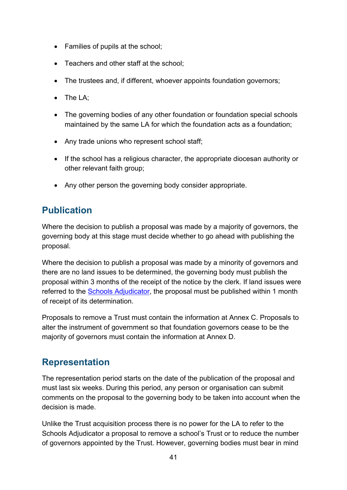- Families of pupils at the school;
- Teachers and other staff at the school;
- The trustees and, if different, whoever appoints foundation governors;
- The LA;
- The governing bodies of any other foundation or foundation special schools maintained by the same LA for which the foundation acts as a foundation;
- Any trade unions who represent school staff;
- If the school has a religious character, the appropriate diocesan authority or other relevant faith group;
- Any other person the governing body consider appropriate.

#### <span id="page-40-0"></span>**Publication**

Where the decision to publish a proposal was made by a majority of governors, the governing body at this stage must decide whether to go ahead with publishing the proposal.

Where the decision to publish a proposal was made by a minority of governors and there are no land issues to be determined, the governing body must publish the proposal within 3 months of the receipt of the notice by the clerk. If land issues were referred to the [Schools Adjudicator,](https://www.gov.uk/government/organisations/office-of-the-schools-adjudicator) the proposal must be published within 1 month of receipt of its determination.

Proposals to remove a Trust must contain the information at Annex C. Proposals to alter the instrument of government so that foundation governors cease to be the majority of governors must contain the information at Annex D.

#### <span id="page-40-1"></span>**Representation**

The representation period starts on the date of the publication of the proposal and must last six weeks. During this period, any person or organisation can submit comments on the proposal to the governing body to be taken into account when the decision is made.

Unlike the Trust acquisition process there is no power for the LA to refer to the Schools Adjudicator a proposal to remove a school's Trust or to reduce the number of governors appointed by the Trust. However, governing bodies must bear in mind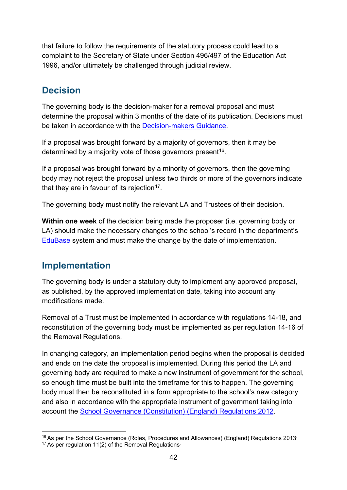that failure to follow the requirements of the statutory process could lead to a complaint to the Secretary of State under Section 496/497 of the Education Act 1996, and/or ultimately be challenged through judicial review.

#### <span id="page-41-0"></span>**Decision**

The governing body is the decision-maker for a removal proposal and must determine the proposal within 3 months of the date of its publication. Decisions must be taken in accordance with the [Decision-makers Guidance.](https://www.gov.uk/government/publications/school-organisation-maintained-schools)

If a proposal was brought forward by a majority of governors, then it may be determined by a majority vote of those governors present<sup>16</sup>.

If a proposal was brought forward by a minority of governors, then the governing body may not reject the proposal unless two thirds or more of the governors indicate that they are in favour of its rejection<sup>17</sup>.

The governing body must notify the relevant LA and Trustees of their decision.

**Within one week** of the decision being made the proposer (i.e. governing body or LA) should make the necessary changes to the school's record in the department's [EduBase](http://www.education.gov.uk/edubase/home.xhtml) system and must make the change by the date of implementation.

#### <span id="page-41-1"></span>**Implementation**

The governing body is under a statutory duty to implement any approved proposal, as published, by the approved implementation date, taking into account any modifications made.

Removal of a Trust must be implemented in accordance with regulations 14-18, and reconstitution of the governing body must be implemented as per regulation 14-16 of the Removal Regulations.

In changing category, an implementation period begins when the proposal is decided and ends on the date the proposal is implemented. During this period the LA and governing body are required to make a new instrument of government for the school, so enough time must be built into the timeframe for this to happen. The governing body must then be reconstituted in a form appropriate to the school's new category and also in accordance with the appropriate instrument of government taking into account the [School Governance \(Constitution\) \(England\) Regulations 2012.](http://www.legislation.gov.uk/uksi/2012/1034/contents/made)

<sup>&</sup>lt;sup>16</sup> As per the School Governance (Roles, Procedures and Allowances) (England) Regulations 2013 **.** 

<span id="page-41-3"></span><span id="page-41-2"></span> $17$  As per regulation 11(2) of the Removal Regulations.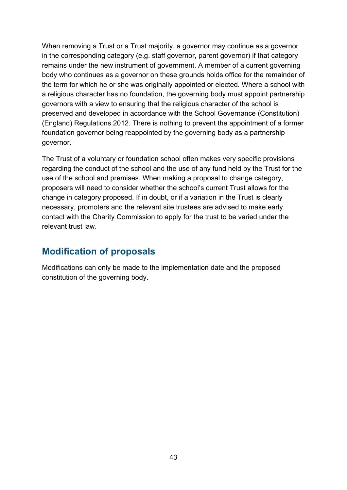When removing a Trust or a Trust majority, a governor may continue as a governor in the corresponding category (e.g. staff governor, parent governor) if that category remains under the new instrument of government. A member of a current governing body who continues as a governor on these grounds holds office for the remainder of the term for which he or she was originally appointed or elected. Where a school with a religious character has no foundation, the governing body must appoint partnership governors with a view to ensuring that the religious character of the school is preserved and developed in accordance with the School Governance (Constitution) (England) Regulations 2012. There is nothing to prevent the appointment of a former foundation governor being reappointed by the governing body as a partnership governor.

The Trust of a voluntary or foundation school often makes very specific provisions regarding the conduct of the school and the use of any fund held by the Trust for the use of the school and premises. When making a proposal to change category, proposers will need to consider whether the school's current Trust allows for the change in category proposed. If in doubt, or if a variation in the Trust is clearly necessary, promoters and the relevant site trustees are advised to make early contact with the Charity Commission to apply for the trust to be varied under the relevant trust law.

#### <span id="page-42-0"></span>**Modification of proposals**

Modifications can only be made to the implementation date and the proposed constitution of the governing body.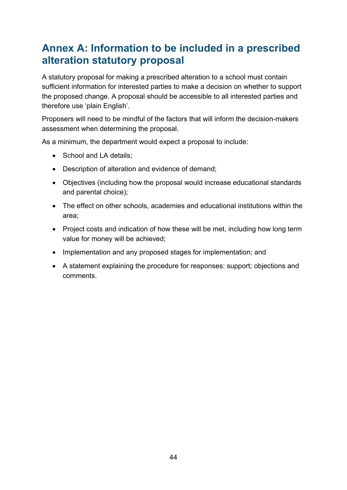# <span id="page-43-0"></span>**Annex A: Information to be included in a prescribed alteration statutory proposal**

A statutory proposal for making a prescribed alteration to a school must contain sufficient information for interested parties to make a decision on whether to support the proposed change. A proposal should be accessible to all interested parties and therefore use 'plain English'.

Proposers will need to be mindful of the factors that will inform the decision-makers assessment when determining the proposal.

As a minimum, the department would expect a proposal to include:

- School and LA details;
- Description of alteration and evidence of demand;
- Objectives (including how the proposal would increase educational standards and parental choice);
- The effect on other schools, academies and educational institutions within the area;
- Project costs and indication of how these will be met, including how long term value for money will be achieved;
- Implementation and any proposed stages for implementation; and
- A statement explaining the procedure for responses: support; objections and comments.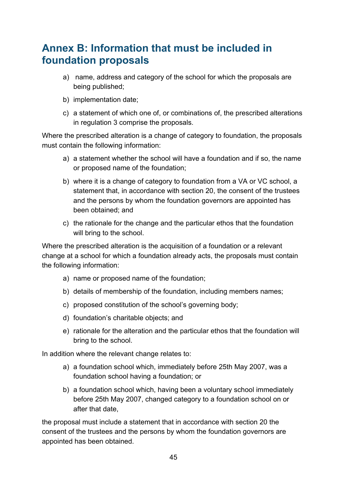# <span id="page-44-0"></span>**Annex B: Information that must be included in foundation proposals**

- a) name, address and category of the school for which the proposals are being published;
- b) implementation date;
- c) a statement of which one of, or combinations of, the prescribed alterations in regulation 3 comprise the proposals.

Where the prescribed alteration is a change of category to foundation, the proposals must contain the following information:

- a) a statement whether the school will have a foundation and if so, the name or proposed name of the foundation;
- b) where it is a change of category to foundation from a VA or VC school, a statement that, in accordance with section 20, the consent of the trustees and the persons by whom the foundation governors are appointed has been obtained; and
- c) the rationale for the change and the particular ethos that the foundation will bring to the school.

Where the prescribed alteration is the acquisition of a foundation or a relevant change at a school for which a foundation already acts, the proposals must contain the following information:

- a) name or proposed name of the foundation;
- b) details of membership of the foundation, including members names;
- c) proposed constitution of the school's governing body;
- d) foundation's charitable objects; and
- e) rationale for the alteration and the particular ethos that the foundation will bring to the school.

In addition where the relevant change relates to:

- a) a foundation school which, immediately before 25th May 2007, was a foundation school having a foundation; or
- b) a foundation school which, having been a voluntary school immediately before 25th May 2007, changed category to a foundation school on or after that date,

the proposal must include a statement that in accordance with section 20 the consent of the trustees and the persons by whom the foundation governors are appointed has been obtained.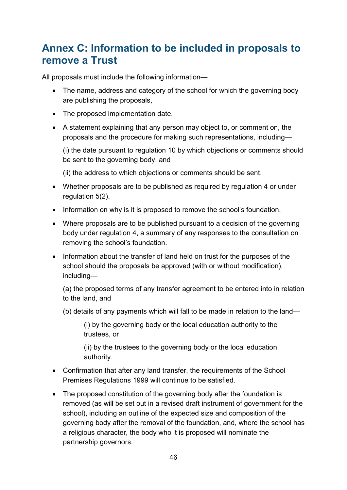# <span id="page-45-0"></span>**Annex C: Information to be included in proposals to remove a Trust**

All proposals must include the following information—

- The name, address and category of the school for which the governing body are publishing the proposals,
- The proposed implementation date,
- A statement explaining that any person may object to, or comment on, the proposals and the procedure for making such representations, including—

(i) the date pursuant to regulation 10 by which objections or comments should be sent to the governing body, and

(ii) the address to which objections or comments should be sent.

- Whether proposals are to be published as required by regulation 4 or under regulation 5(2).
- Information on why is it is proposed to remove the school's foundation.
- Where proposals are to be published pursuant to a decision of the governing body under regulation 4, a summary of any responses to the consultation on removing the school's foundation.
- Information about the transfer of land held on trust for the purposes of the school should the proposals be approved (with or without modification), including—

(a) the proposed terms of any transfer agreement to be entered into in relation to the land, and

(b) details of any payments which will fall to be made in relation to the land—

(i) by the governing body or the local education authority to the trustees, or

(ii) by the trustees to the governing body or the local education authority.

- Confirmation that after any land transfer, the requirements of the School Premises Regulations 1999 will continue to be satisfied.
- The proposed constitution of the governing body after the foundation is removed (as will be set out in a revised draft instrument of government for the school), including an outline of the expected size and composition of the governing body after the removal of the foundation, and, where the school has a religious character, the body who it is proposed will nominate the partnership governors.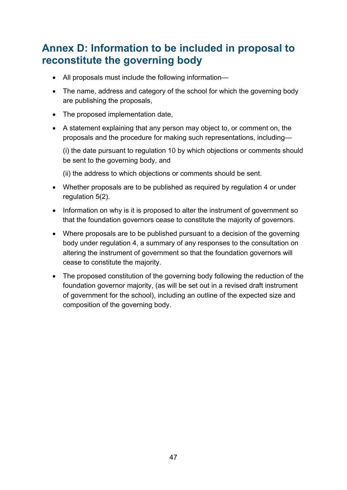# <span id="page-46-0"></span>**Annex D: Information to be included in proposal to reconstitute the governing body**

- All proposals must include the following information—
- The name, address and category of the school for which the governing body are publishing the proposals,
- The proposed implementation date,
- A statement explaining that any person may object to, or comment on, the proposals and the procedure for making such representations, including—

(i) the date pursuant to regulation 10 by which objections or comments should be sent to the governing body, and

(ii) the address to which objections or comments should be sent.

- Whether proposals are to be published as required by regulation 4 or under regulation 5(2).
- Information on why is it is proposed to alter the instrument of government so that the foundation governors cease to constitute the majority of governors.
- Where proposals are to be published pursuant to a decision of the governing body under regulation 4, a summary of any responses to the consultation on altering the instrument of government so that the foundation governors will cease to constitute the majority.
- The proposed constitution of the governing body following the reduction of the foundation governor majority, (as will be set out in a revised draft instrument of government for the school), including an outline of the expected size and composition of the governing body.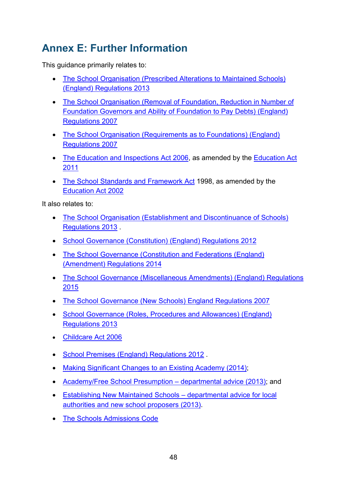# <span id="page-47-0"></span>**Annex E: Further Information**

This guidance primarily relates to:

- The School Organisation (Prescribed Alterations to Maintained Schools) [\(England\) Regulations 2013](http://www.legislation.gov.uk/uksi/2013/3110/contents/made)
- [The School Organisation \(Removal of Foundation, Reduction in Number of](http://www.legislation.gov.uk/uksi/2007/3475/contents/made)  [Foundation Governors and Ability of Foundation to Pay Debts\) \(England\)](http://www.legislation.gov.uk/uksi/2007/3475/contents/made)  [Regulations 2007](http://www.legislation.gov.uk/uksi/2007/3475/contents/made)
- [The School Organisation \(Requirements as to Foundations\) \(England\)](http://www.legislation.gov.uk/uksi/2007/1287/contents/made)  [Regulations 2007](http://www.legislation.gov.uk/uksi/2007/1287/contents/made)
- [The Education and Inspections Act 2006,](http://www.legislation.gov.uk/ukpga/2006/40/contents) as amended by the Education Act [2011](http://www.legislation.gov.uk/ukpga/2011/21/contents)
- [The School Standards and Framework Act](http://www.legislation.gov.uk/ukpga/1998/31/contents) 1998, as amended by the [Education Act 2002](http://www.legislation.gov.uk/ukpga/2002/32/contents)

It also relates to:

- [The School Organisation \(Establishment and Discontinuance of Schools\)](http://www.legislation.gov.uk/uksi/2013/3109/contents/made)  [Regulations 2013](http://www.legislation.gov.uk/uksi/2013/3109/contents/made) .
- [School Governance \(Constitution\) \(England\) Regulations 2012](http://www.legislation.gov.uk/uksi/2012/1034/contents/made)
- [The School Governance \(Constitution and Federations \(England\)](http://www.legislation.gov.uk/uksi/2014/1257/pdfs/uksi_20141257_en.pdf)  [\(Amendment\) Regulations 2014](http://www.legislation.gov.uk/uksi/2014/1257/pdfs/uksi_20141257_en.pdf)
- [The School Governance \(Miscellaneous Amendments\) \(England\) Regulations](http://www.legislation.gov.uk/uksi/2015/883/pdfs/uksi_20150883_en.pdf)  [2015](http://www.legislation.gov.uk/uksi/2015/883/pdfs/uksi_20150883_en.pdf)
- [The School Governance \(New Schools\) England Regulations 2007](http://www.legislation.gov.uk/uksi/2007/958/pdfs/uksi_20070958_en.pdf)
- [School Governance \(Roles, Procedures and Allowances\) \(England\)](http://www.legislation.gov.uk/uksi/2013/1624/contents/made)  [Regulations 2013](http://www.legislation.gov.uk/uksi/2013/1624/contents/made)
- [Childcare Act 2006](http://www.legislation.gov.uk/ukpga/2006/21/contents)
- [School Premises \(England\) Regulations 2012](http://www.legislation.gov.uk/uksi/2012/1943/contents/made) .
- [Making Significant Changes to an Existing Academy \(2014\);](https://www.gov.uk/government/publications/making-significant-changes-to-an-existing-academy)
- [Academy/Free School Presumption departmental advice \(2013\);](https://www.gov.uk/government/publications/academy-and-free-school-presumption) and
- [Establishing New Maintained Schools departmental advice for local](https://www.gov.uk/government/publications/establishing-new-maintained-schools)  [authorities and new school proposers \(2013\).](https://www.gov.uk/government/publications/establishing-new-maintained-schools)
- [The Schools Admissions Code](https://www.gov.uk/government/publications/school-admissions-code--2)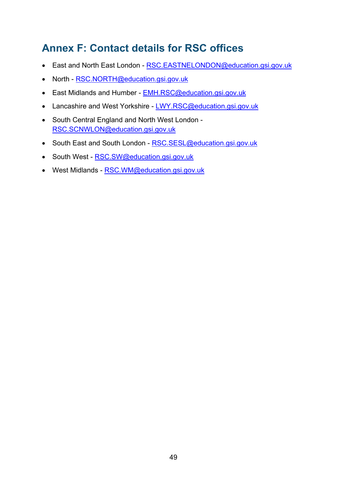# <span id="page-48-0"></span>**Annex F: Contact details for RSC offices**

- East and North East London - [RSC.EASTNELONDON@education.gsi.gov.uk](mailto:RSC.EASTNELONDON@education.gsi.gov.uk)
- North - [RSC.NORTH@education.gsi.gov.uk](mailto:RSC.NORTH@education.gsi.gov.uk)
- East Midlands and Humber **EMH.RSC@education.gsi.gov.uk**
- Lancashire and West Yorkshire - [LWY.RSC@education.gsi.gov.uk](mailto:LWY.RSC@education.gsi.gov.uk)
- South Central England and North West London [RSC.SCNWLON@education.gsi.gov.uk](mailto:RSC.SCNWLON@education.gsi.gov.uk)
- South East and South London - [RSC.SESL@education.gsi.gov.uk](mailto:RSC.SESL@education.gsi.gov.uk)
- South West - [RSC.SW@education.gsi.gov.uk](mailto:RSC.SW@education.gsi.gov.uk)
- West Midlands - [RSC.WM@education.gsi.gov.uk](mailto:RSC.WM@education.gsi.gov.uk)